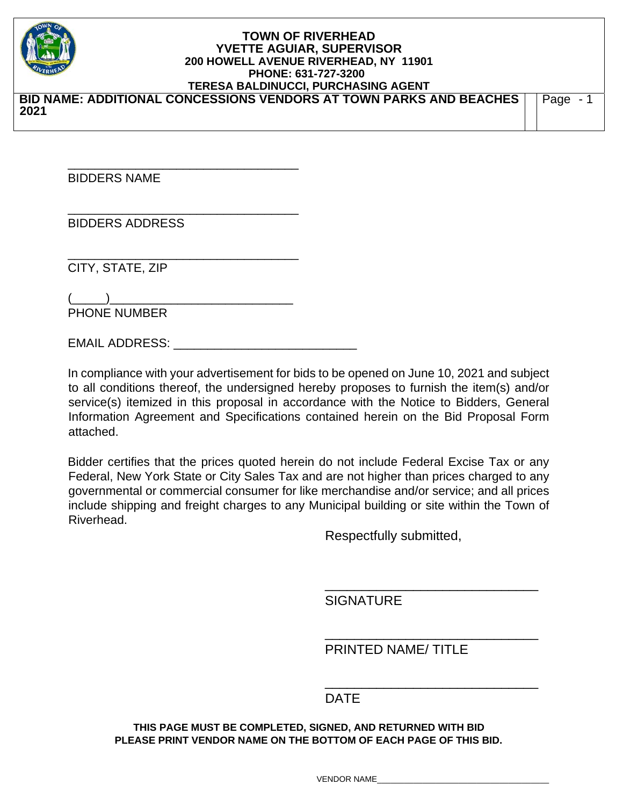

#### **TOWN OF RIVERHEAD YVETTE AGUIAR, SUPERVISOR 200 HOWELL AVENUE RIVERHEAD, NY 11901 PHONE: 631-727-3200 TERESA BALDINUCCI, PURCHASING AGENT BID NAME: ADDITIONAL CONCESSIONS VENDORS AT TOWN PARKS AND BEACHES**

BIDDERS NAME

BIDDERS ADDRESS

CITY, STATE, ZIP

 $($  ) PHONE NUMBER

\_\_\_\_\_\_\_\_\_\_\_\_\_\_\_\_\_\_\_\_\_\_\_\_\_\_\_\_\_\_\_\_\_\_

\_\_\_\_\_\_\_\_\_\_\_\_\_\_\_\_\_\_\_\_\_\_\_\_\_\_\_\_\_\_\_\_\_\_

\_\_\_\_\_\_\_\_\_\_\_\_\_\_\_\_\_\_\_\_\_\_\_\_\_\_\_\_\_\_\_\_\_\_

EMAIL ADDRESS: \_\_\_\_\_\_\_\_\_\_\_\_\_\_\_\_\_\_\_\_\_\_\_\_\_\_\_

In compliance with your advertisement for bids to be opened on June 10, 2021 and subject to all conditions thereof, the undersigned hereby proposes to furnish the item(s) and/or service(s) itemized in this proposal in accordance with the Notice to Bidders, General Information Agreement and Specifications contained herein on the Bid Proposal Form attached.

Bidder certifies that the prices quoted herein do not include Federal Excise Tax or any Federal, New York State or City Sales Tax and are not higher than prices charged to any governmental or commercial consumer for like merchandise and/or service; and all prices include shipping and freight charges to any Municipal building or site within the Town of Riverhead.

Respectfully submitted,

**SIGNATURE** 

 $\overline{\phantom{a}}$  , and the contract of the contract of the contract of the contract of the contract of the contract of the contract of the contract of the contract of the contract of the contract of the contract of the contrac PRINTED NAME/ TITLE

\_\_\_\_\_\_\_\_\_\_\_\_\_\_\_\_\_\_\_\_\_\_\_\_\_\_\_\_\_

\_\_\_\_\_\_\_\_\_\_\_\_\_\_\_\_\_\_\_\_\_\_\_\_\_\_\_\_\_

# **DATE** DESCRIPTION OF THE STATE OF THE STATE OF THE STATE OF THE STATE OF THE STATE OF THE STATE OF THE STATE OF THE STATE OF THE STATE OF THE STATE OF THE STATE OF THE STATE OF THE STATE OF THE STATE OF THE STATE OF THE S

**THIS PAGE MUST BE COMPLETED, SIGNED, AND RETURNED WITH BID PLEASE PRINT VENDOR NAME ON THE BOTTOM OF EACH PAGE OF THIS BID.**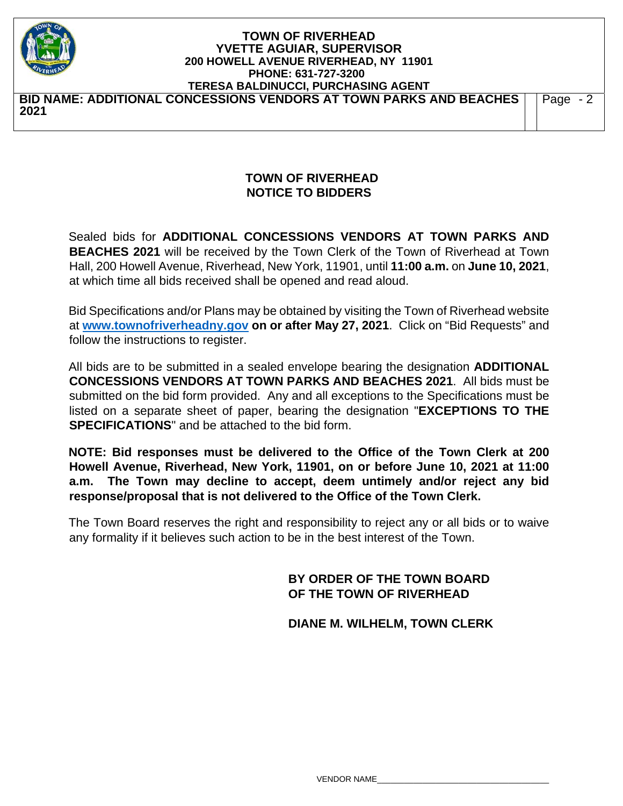

#### **TOWN OF RIVERHEAD YVETTE AGUIAR, SUPERVISOR 200 HOWELL AVENUE RIVERHEAD, NY 11901 PHONE: 631-727-3200 TERESA BALDINUCCI, PURCHASING AGENT BID NAME: ADDITIONAL CONCESSIONS VENDORS AT TOWN PARKS AND BEACHES**

Page - 2

**TOWN OF RIVERHEAD NOTICE TO BIDDERS** 

Sealed bids for **ADDITIONAL CONCESSIONS VENDORS AT TOWN PARKS AND BEACHES 2021** will be received by the Town Clerk of the Town of Riverhead at Town Hall, 200 Howell Avenue, Riverhead, New York, 11901, until **11:00 a.m.** on **June 10, 2021**, at which time all bids received shall be opened and read aloud.

Bid Specifications and/or Plans may be obtained by visiting the Town of Riverhead website at **www.townofriverheadny.gov on or after May 27, 2021**. Click on "Bid Requests" and follow the instructions to register.

All bids are to be submitted in a sealed envelope bearing the designation **ADDITIONAL CONCESSIONS VENDORS AT TOWN PARKS AND BEACHES 2021**. All bids must be submitted on the bid form provided. Any and all exceptions to the Specifications must be listed on a separate sheet of paper, bearing the designation "**EXCEPTIONS TO THE SPECIFICATIONS**" and be attached to the bid form.

**NOTE: Bid responses must be delivered to the Office of the Town Clerk at 200 Howell Avenue, Riverhead, New York, 11901, on or before June 10, 2021 at 11:00 a.m. The Town may decline to accept, deem untimely and/or reject any bid response/proposal that is not delivered to the Office of the Town Clerk.**

The Town Board reserves the right and responsibility to reject any or all bids or to waive any formality if it believes such action to be in the best interest of the Town.

# **BY ORDER OF THE TOWN BOARD OF THE TOWN OF RIVERHEAD**

 **DIANE M. WILHELM, TOWN CLERK**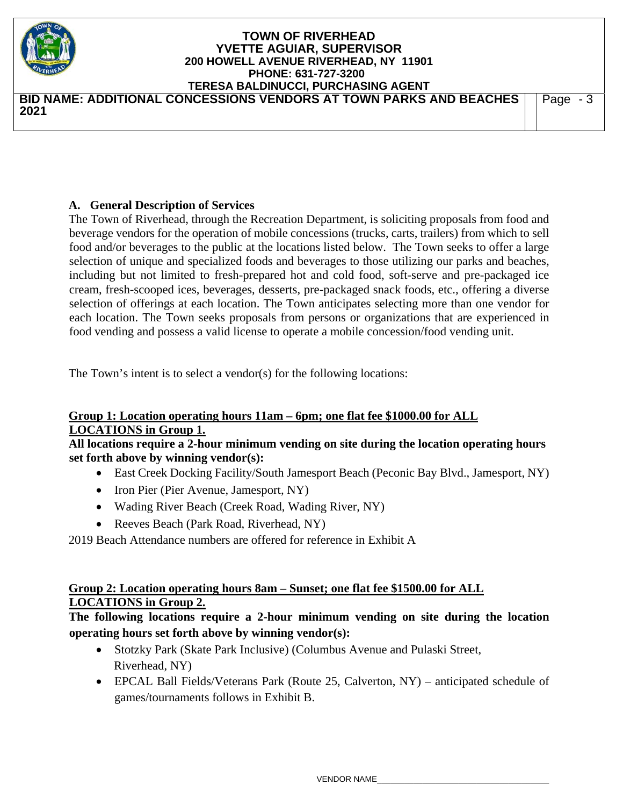

#### **TOWN OF RIVERHEAD YVETTE AGUIAR, SUPERVISOR 200 HOWELL AVENUE RIVERHEAD, NY 11901 PHONE: 631-727-3200 TERESA BALDINUCCI, PURCHASING AGENT BID NAME: ADDITIONAL CONCESSIONS VENDORS AT TOWN PARKS AND BEACHES**

Page - 3

# **A. General Description of Services**

The Town of Riverhead, through the Recreation Department, is soliciting proposals from food and beverage vendors for the operation of mobile concessions (trucks, carts, trailers) from which to sell food and/or beverages to the public at the locations listed below. The Town seeks to offer a large selection of unique and specialized foods and beverages to those utilizing our parks and beaches, including but not limited to fresh-prepared hot and cold food, soft-serve and pre-packaged ice cream, fresh-scooped ices, beverages, desserts, pre-packaged snack foods, etc., offering a diverse selection of offerings at each location. The Town anticipates selecting more than one vendor for each location. The Town seeks proposals from persons or organizations that are experienced in food vending and possess a valid license to operate a mobile concession/food vending unit.

The Town's intent is to select a vendor(s) for the following locations:

# **Group 1: Location operating hours 11am – 6pm; one flat fee \$1000.00 for ALL LOCATIONS in Group 1.**

# **All locations require a 2-hour minimum vending on site during the location operating hours set forth above by winning vendor(s):**

- East Creek Docking Facility/South Jamesport Beach (Peconic Bay Blvd., Jamesport, NY)
- Iron Pier (Pier Avenue, Jamesport, NY)
- Wading River Beach (Creek Road, Wading River, NY)
- Reeves Beach (Park Road, Riverhead, NY)

2019 Beach Attendance numbers are offered for reference in Exhibit A

# **Group 2: Location operating hours 8am – Sunset; one flat fee \$1500.00 for ALL LOCATIONS in Group 2.**

**The following locations require a 2-hour minimum vending on site during the location operating hours set forth above by winning vendor(s):**

- Stotzky Park (Skate Park Inclusive) (Columbus Avenue and Pulaski Street, Riverhead, NY)
- EPCAL Ball Fields/Veterans Park (Route 25, Calverton, NY) anticipated schedule of games/tournaments follows in Exhibit B.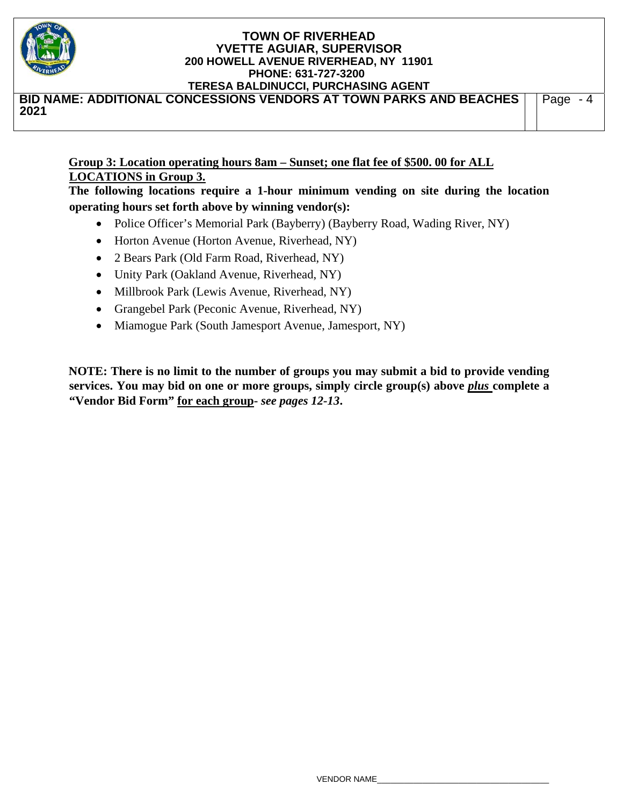

# **TOWN OF RIVERHEAD YVETTE AGUIAR, SUPERVISOR 200 HOWELL AVENUE RIVERHEAD, NY 11901 PHONE: 631-727-3200 TERESA BALDINUCCI, PURCHASING AGENT**

**BID NAME: ADDITIONAL CONCESSIONS VENDORS AT TOWN PARKS AND BEACHES 2021** 

# **Group 3: Location operating hours 8am – Sunset; one flat fee of \$500. 00 for ALL LOCATIONS in Group 3.**

**The following locations require a 1-hour minimum vending on site during the location operating hours set forth above by winning vendor(s):**

- Police Officer's Memorial Park (Bayberry) (Bayberry Road, Wading River, NY)
- Horton Avenue (Horton Avenue, Riverhead, NY)
- 2 Bears Park (Old Farm Road, Riverhead, NY)
- Unity Park (Oakland Avenue, Riverhead, NY)
- Millbrook Park (Lewis Avenue, Riverhead, NY)
- Grangebel Park (Peconic Avenue, Riverhead, NY)
- Miamogue Park (South Jamesport Avenue, Jamesport, NY)

**NOTE: There is no limit to the number of groups you may submit a bid to provide vending services. You may bid on one or more groups, simply circle group(s) above** *plus* **complete a "Vendor Bid Form" for each group-** *see pages 12-13***.**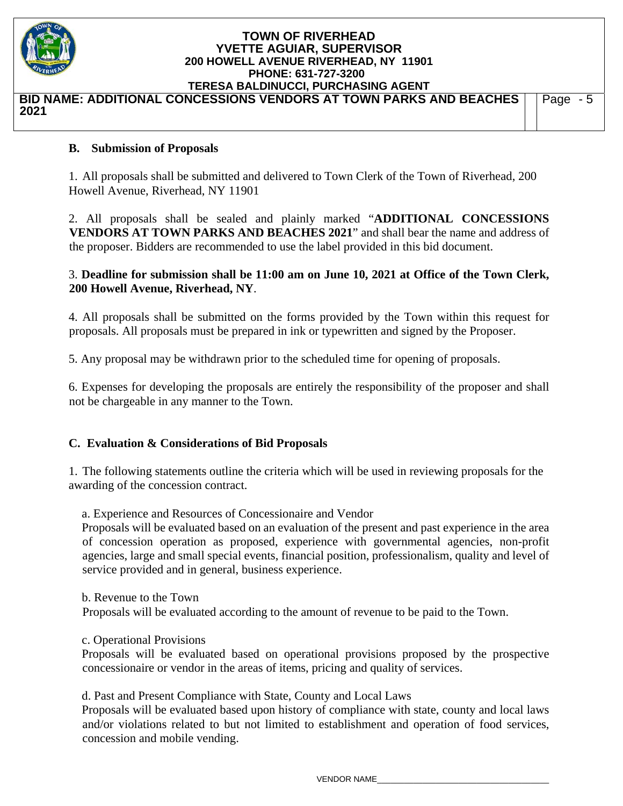

#### **TOWN OF RIVERHEAD YVETTE AGUIAR, SUPERVISOR 200 HOWELL AVENUE RIVERHEAD, NY 11901 PHONE: 631-727-3200 TERESA BALDINUCCI, PURCHASING AGENT BID NAME: ADDITIONAL CONCESSIONS VENDORS AT TOWN PARKS AND BEACHES**

# **B. Submission of Proposals**

1. All proposals shall be submitted and delivered to Town Clerk of the Town of Riverhead, 200 Howell Avenue, Riverhead, NY 11901

2. All proposals shall be sealed and plainly marked "**ADDITIONAL CONCESSIONS VENDORS AT TOWN PARKS AND BEACHES 2021**" and shall bear the name and address of the proposer. Bidders are recommended to use the label provided in this bid document.

# 3. **Deadline for submission shall be 11:00 am on June 10, 2021 at Office of the Town Clerk, 200 Howell Avenue, Riverhead, NY**.

4. All proposals shall be submitted on the forms provided by the Town within this request for proposals. All proposals must be prepared in ink or typewritten and signed by the Proposer.

5. Any proposal may be withdrawn prior to the scheduled time for opening of proposals.

6. Expenses for developing the proposals are entirely the responsibility of the proposer and shall not be chargeable in any manner to the Town.

# **C. Evaluation & Considerations of Bid Proposals**

1. The following statements outline the criteria which will be used in reviewing proposals for the awarding of the concession contract.

a. Experience and Resources of Concessionaire and Vendor

Proposals will be evaluated based on an evaluation of the present and past experience in the area of concession operation as proposed, experience with governmental agencies, non-profit agencies, large and small special events, financial position, professionalism, quality and level of service provided and in general, business experience.

b. Revenue to the Town

Proposals will be evaluated according to the amount of revenue to be paid to the Town.

c. Operational Provisions

Proposals will be evaluated based on operational provisions proposed by the prospective concessionaire or vendor in the areas of items, pricing and quality of services.

d. Past and Present Compliance with State, County and Local Laws

Proposals will be evaluated based upon history of compliance with state, county and local laws and/or violations related to but not limited to establishment and operation of food services, concession and mobile vending.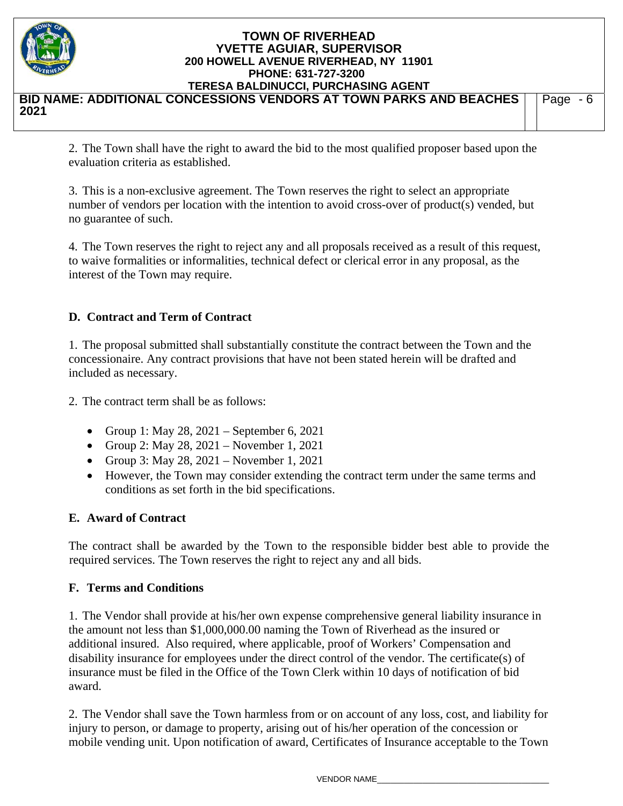

#### **TOWN OF RIVERHEAD YVETTE AGUIAR, SUPERVISOR 200 HOWELL AVENUE RIVERHEAD, NY 11901 PHONE: 631-727-3200 TERESA BALDINUCCI, PURCHASING AGENT BID NAME: ADDITIONAL CONCESSIONS VENDORS AT TOWN PARKS AND BEACHES**

2. The Town shall have the right to award the bid to the most qualified proposer based upon the evaluation criteria as established.

3. This is a non-exclusive agreement. The Town reserves the right to select an appropriate number of vendors per location with the intention to avoid cross-over of product(s) vended, but no guarantee of such.

4. The Town reserves the right to reject any and all proposals received as a result of this request, to waive formalities or informalities, technical defect or clerical error in any proposal, as the interest of the Town may require.

# **D. Contract and Term of Contract**

1. The proposal submitted shall substantially constitute the contract between the Town and the concessionaire. Any contract provisions that have not been stated herein will be drafted and included as necessary.

2. The contract term shall be as follows:

- Group 1: May 28, 2021 September 6, 2021
- Group 2: May 28,  $2021 -$  November 1, 2021
- Group 3: May 28,  $2021 -$  November 1, 2021
- However, the Town may consider extending the contract term under the same terms and conditions as set forth in the bid specifications.

# **E. Award of Contract**

The contract shall be awarded by the Town to the responsible bidder best able to provide the required services. The Town reserves the right to reject any and all bids.

# **F. Terms and Conditions**

1. The Vendor shall provide at his/her own expense comprehensive general liability insurance in the amount not less than \$1,000,000.00 naming the Town of Riverhead as the insured or additional insured. Also required, where applicable, proof of Workers' Compensation and disability insurance for employees under the direct control of the vendor. The certificate(s) of insurance must be filed in the Office of the Town Clerk within 10 days of notification of bid award.

2. The Vendor shall save the Town harmless from or on account of any loss, cost, and liability for injury to person, or damage to property, arising out of his/her operation of the concession or mobile vending unit. Upon notification of award, Certificates of Insurance acceptable to the Town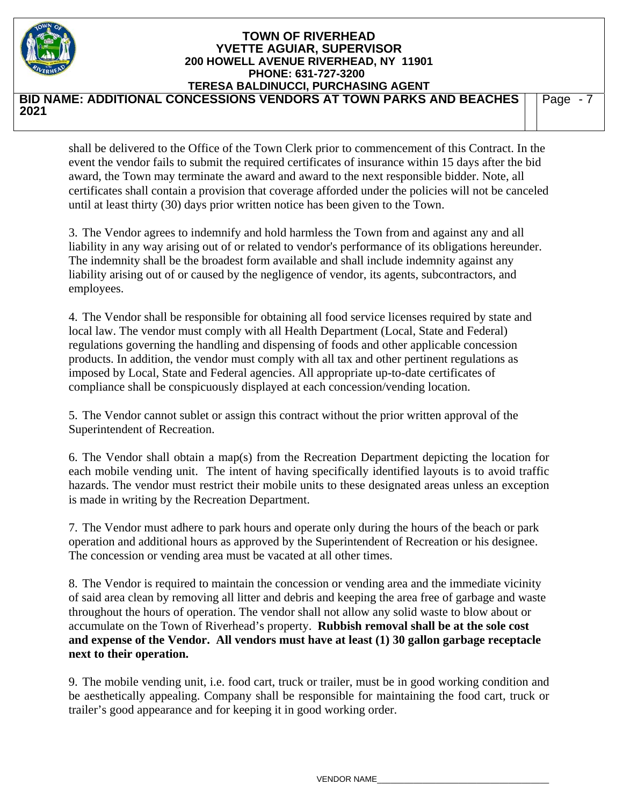

#### **TOWN OF RIVERHEAD YVETTE AGUIAR, SUPERVISOR 200 HOWELL AVENUE RIVERHEAD, NY 11901 PHONE: 631-727-3200 TERESA BALDINUCCI, PURCHASING AGENT BID NAME: ADDITIONAL CONCESSIONS VENDORS AT TOWN PARKS AND BEACHES**

shall be delivered to the Office of the Town Clerk prior to commencement of this Contract. In the event the vendor fails to submit the required certificates of insurance within 15 days after the bid award, the Town may terminate the award and award to the next responsible bidder. Note, all certificates shall contain a provision that coverage afforded under the policies will not be canceled until at least thirty (30) days prior written notice has been given to the Town.

3. The Vendor agrees to indemnify and hold harmless the Town from and against any and all liability in any way arising out of or related to vendor's performance of its obligations hereunder. The indemnity shall be the broadest form available and shall include indemnity against any liability arising out of or caused by the negligence of vendor, its agents, subcontractors, and employees.

4. The Vendor shall be responsible for obtaining all food service licenses required by state and local law. The vendor must comply with all Health Department (Local, State and Federal) regulations governing the handling and dispensing of foods and other applicable concession products. In addition, the vendor must comply with all tax and other pertinent regulations as imposed by Local, State and Federal agencies. All appropriate up-to-date certificates of compliance shall be conspicuously displayed at each concession/vending location.

5. The Vendor cannot sublet or assign this contract without the prior written approval of the Superintendent of Recreation.

6. The Vendor shall obtain a map(s) from the Recreation Department depicting the location for each mobile vending unit. The intent of having specifically identified layouts is to avoid traffic hazards. The vendor must restrict their mobile units to these designated areas unless an exception is made in writing by the Recreation Department.

7. The Vendor must adhere to park hours and operate only during the hours of the beach or park operation and additional hours as approved by the Superintendent of Recreation or his designee. The concession or vending area must be vacated at all other times.

8. The Vendor is required to maintain the concession or vending area and the immediate vicinity of said area clean by removing all litter and debris and keeping the area free of garbage and waste throughout the hours of operation. The vendor shall not allow any solid waste to blow about or accumulate on the Town of Riverhead's property. **Rubbish removal shall be at the sole cost and expense of the Vendor. All vendors must have at least (1) 30 gallon garbage receptacle next to their operation.**

9. The mobile vending unit, i.e. food cart, truck or trailer, must be in good working condition and be aesthetically appealing. Company shall be responsible for maintaining the food cart, truck or trailer's good appearance and for keeping it in good working order.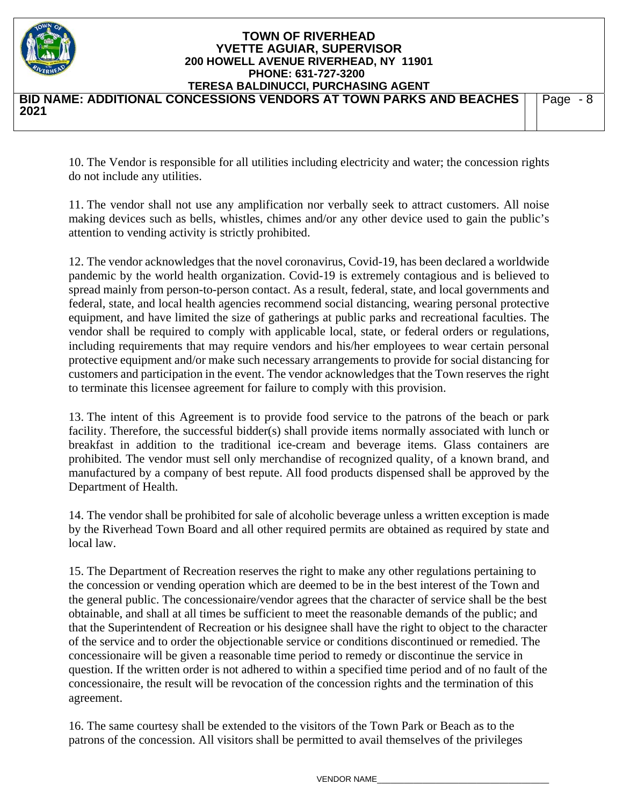

#### **TOWN OF RIVERHEAD YVETTE AGUIAR, SUPERVISOR 200 HOWELL AVENUE RIVERHEAD, NY 11901 PHONE: 631-727-3200 TERESA BALDINUCCI, PURCHASING AGENT BID NAME: ADDITIONAL CONCESSIONS VENDORS AT TOWN PARKS AND BEACHES**

10. The Vendor is responsible for all utilities including electricity and water; the concession rights do not include any utilities.

11. The vendor shall not use any amplification nor verbally seek to attract customers. All noise making devices such as bells, whistles, chimes and/or any other device used to gain the public's attention to vending activity is strictly prohibited.

12. The vendor acknowledges that the novel coronavirus, Covid-19, has been declared a worldwide pandemic by the world health organization. Covid-19 is extremely contagious and is believed to spread mainly from person-to-person contact. As a result, federal, state, and local governments and federal, state, and local health agencies recommend social distancing, wearing personal protective equipment, and have limited the size of gatherings at public parks and recreational faculties. The vendor shall be required to comply with applicable local, state, or federal orders or regulations, including requirements that may require vendors and his/her employees to wear certain personal protective equipment and/or make such necessary arrangements to provide for social distancing for customers and participation in the event. The vendor acknowledges that the Town reserves the right to terminate this licensee agreement for failure to comply with this provision.

13. The intent of this Agreement is to provide food service to the patrons of the beach or park facility. Therefore, the successful bidder(s) shall provide items normally associated with lunch or breakfast in addition to the traditional ice-cream and beverage items. Glass containers are prohibited. The vendor must sell only merchandise of recognized quality, of a known brand, and manufactured by a company of best repute. All food products dispensed shall be approved by the Department of Health.

14. The vendor shall be prohibited for sale of alcoholic beverage unless a written exception is made by the Riverhead Town Board and all other required permits are obtained as required by state and local law.

15. The Department of Recreation reserves the right to make any other regulations pertaining to the concession or vending operation which are deemed to be in the best interest of the Town and the general public. The concessionaire/vendor agrees that the character of service shall be the best obtainable, and shall at all times be sufficient to meet the reasonable demands of the public; and that the Superintendent of Recreation or his designee shall have the right to object to the character of the service and to order the objectionable service or conditions discontinued or remedied. The concessionaire will be given a reasonable time period to remedy or discontinue the service in question. If the written order is not adhered to within a specified time period and of no fault of the concessionaire, the result will be revocation of the concession rights and the termination of this agreement.

16. The same courtesy shall be extended to the visitors of the Town Park or Beach as to the patrons of the concession. All visitors shall be permitted to avail themselves of the privileges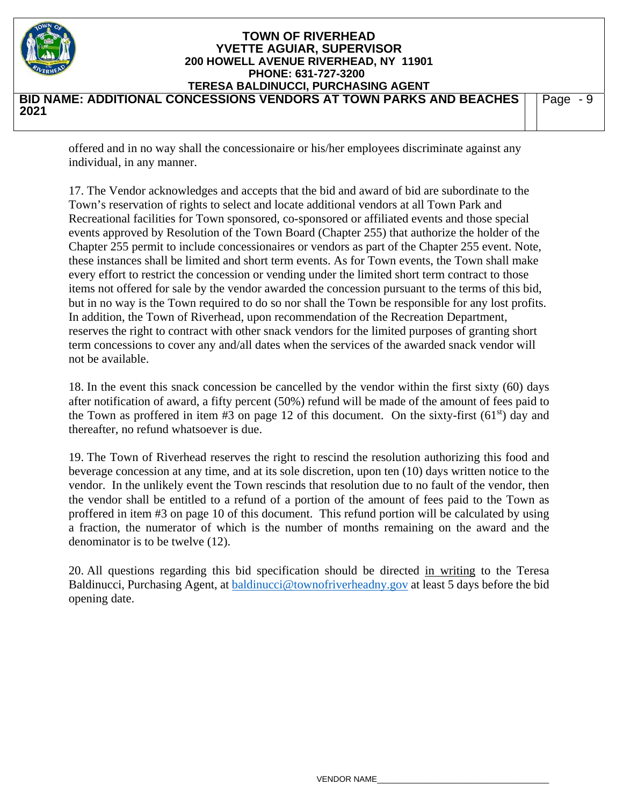

#### **TOWN OF RIVERHEAD YVETTE AGUIAR, SUPERVISOR 200 HOWELL AVENUE RIVERHEAD, NY 11901 PHONE: 631-727-3200 TERESA BALDINUCCI, PURCHASING AGENT BID NAME: ADDITIONAL CONCESSIONS VENDORS AT TOWN PARKS AND BEACHES**

offered and in no way shall the concessionaire or his/her employees discriminate against any individual, in any manner.

17. The Vendor acknowledges and accepts that the bid and award of bid are subordinate to the Town's reservation of rights to select and locate additional vendors at all Town Park and Recreational facilities for Town sponsored, co-sponsored or affiliated events and those special events approved by Resolution of the Town Board (Chapter 255) that authorize the holder of the Chapter 255 permit to include concessionaires or vendors as part of the Chapter 255 event. Note, these instances shall be limited and short term events. As for Town events, the Town shall make every effort to restrict the concession or vending under the limited short term contract to those items not offered for sale by the vendor awarded the concession pursuant to the terms of this bid, but in no way is the Town required to do so nor shall the Town be responsible for any lost profits. In addition, the Town of Riverhead, upon recommendation of the Recreation Department, reserves the right to contract with other snack vendors for the limited purposes of granting short term concessions to cover any and/all dates when the services of the awarded snack vendor will not be available.

18. In the event this snack concession be cancelled by the vendor within the first sixty (60) days after notification of award, a fifty percent (50%) refund will be made of the amount of fees paid to the Town as proffered in item  $#3$  on page 12 of this document. On the sixty-first (61<sup>st</sup>) day and thereafter, no refund whatsoever is due.

19. The Town of Riverhead reserves the right to rescind the resolution authorizing this food and beverage concession at any time, and at its sole discretion, upon ten (10) days written notice to the vendor. In the unlikely event the Town rescinds that resolution due to no fault of the vendor, then the vendor shall be entitled to a refund of a portion of the amount of fees paid to the Town as proffered in item #3 on page 10 of this document. This refund portion will be calculated by using a fraction, the numerator of which is the number of months remaining on the award and the denominator is to be twelve (12).

20. All questions regarding this bid specification should be directed in writing to the Teresa Baldinucci, Purchasing Agent, at baldinucci@townofriverheadny.gov at least 5 days before the bid opening date.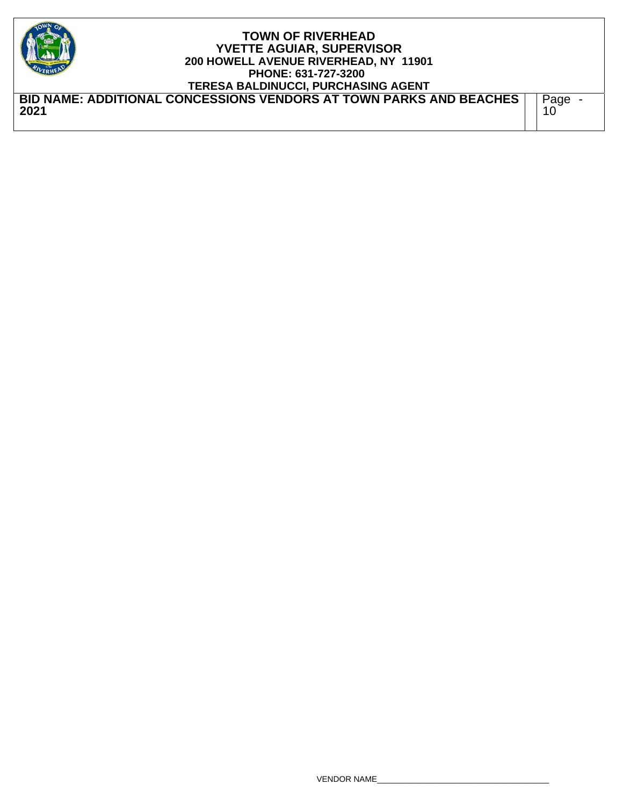

#### **TOWN OF RIVERHEAD YVETTE AGUIAR, SUPERVISOR 200 HOWELL AVENUE RIVERHEAD, NY 11901 PHONE: 631-727-3200 TERESA BALDINUCCI, PURCHASING AGENT BID NAME: ADDITIONAL CONCESSIONS VENDORS AT TOWN PARKS AND BEACHES**

Page - 10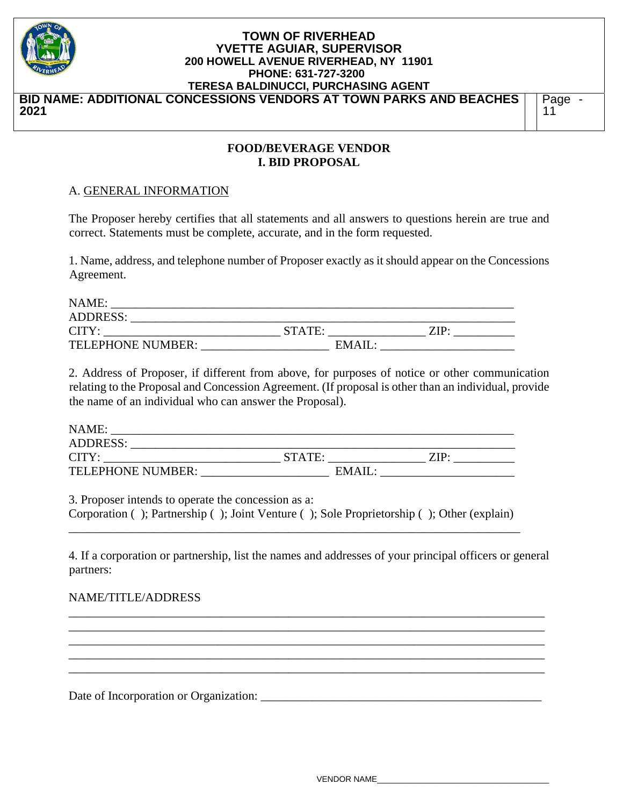

#### **TOWN OF RIVERHEAD YVETTE AGUIAR, SUPERVISOR 200 HOWELL AVENUE RIVERHEAD, NY 11901 PHONE: 631-727-3200 TERESA BALDINUCCI, PURCHASING AGENT BID NAME: ADDITIONAL CONCESSIONS VENDORS AT TOWN PARKS AND BEACHES**

Page - 11

# **FOOD/BEVERAGE VENDOR I. BID PROPOSAL**

#### A. GENERAL INFORMATION

The Proposer hereby certifies that all statements and all answers to questions herein are true and correct. Statements must be complete, accurate, and in the form requested.

1. Name, address, and telephone number of Proposer exactly as it should appear on the Concessions Agreement.

| NAME:                    |        |      |
|--------------------------|--------|------|
| <b>ADDRESS:</b>          |        |      |
| CITY:                    | STATE: | ZID. |
| <b>TELEPHONE NUMBER:</b> | EMAIL: |      |

2. Address of Proposer, if different from above, for purposes of notice or other communication relating to the Proposal and Concession Agreement. (If proposal is other than an individual, provide the name of an individual who can answer the Proposal).

| NAME:                    |        |              |
|--------------------------|--------|--------------|
| <b>ADDRESS:</b>          |        |              |
| CITY:                    | STATE: | $\gamma$ [D. |
| <b>TELEPHONE NUMBER:</b> | EMAIL: |              |

3. Proposer intends to operate the concession as a: Corporation ( ); Partnership ( ); Joint Venture ( ); Sole Proprietorship ( ); Other (explain) \_\_\_\_\_\_\_\_\_\_\_\_\_\_\_\_\_\_\_\_\_\_\_\_\_\_\_\_\_\_\_\_\_\_\_\_\_\_\_\_\_\_\_\_\_\_\_\_\_\_\_\_\_\_\_\_\_\_\_\_\_\_\_\_\_\_\_\_\_\_\_\_\_\_

4. If a corporation or partnership, list the names and addresses of your principal officers or general partners:

\_\_\_\_\_\_\_\_\_\_\_\_\_\_\_\_\_\_\_\_\_\_\_\_\_\_\_\_\_\_\_\_\_\_\_\_\_\_\_\_\_\_\_\_\_\_\_\_\_\_\_\_\_\_\_\_\_\_\_\_\_\_\_\_\_\_\_\_\_\_\_\_\_\_\_\_\_\_ \_\_\_\_\_\_\_\_\_\_\_\_\_\_\_\_\_\_\_\_\_\_\_\_\_\_\_\_\_\_\_\_\_\_\_\_\_\_\_\_\_\_\_\_\_\_\_\_\_\_\_\_\_\_\_\_\_\_\_\_\_\_\_\_\_\_\_\_\_\_\_\_\_\_\_\_\_\_ \_\_\_\_\_\_\_\_\_\_\_\_\_\_\_\_\_\_\_\_\_\_\_\_\_\_\_\_\_\_\_\_\_\_\_\_\_\_\_\_\_\_\_\_\_\_\_\_\_\_\_\_\_\_\_\_\_\_\_\_\_\_\_\_\_\_\_\_\_\_\_\_\_\_\_\_\_\_ \_\_\_\_\_\_\_\_\_\_\_\_\_\_\_\_\_\_\_\_\_\_\_\_\_\_\_\_\_\_\_\_\_\_\_\_\_\_\_\_\_\_\_\_\_\_\_\_\_\_\_\_\_\_\_\_\_\_\_\_\_\_\_\_\_\_\_\_\_\_\_\_\_\_\_\_\_\_ \_\_\_\_\_\_\_\_\_\_\_\_\_\_\_\_\_\_\_\_\_\_\_\_\_\_\_\_\_\_\_\_\_\_\_\_\_\_\_\_\_\_\_\_\_\_\_\_\_\_\_\_\_\_\_\_\_\_\_\_\_\_\_\_\_\_\_\_\_\_\_\_\_\_\_\_\_\_

#### NAME/TITLE/ADDRESS

Date of Incorporation or Organization: \_\_\_\_\_\_\_\_\_\_\_\_\_\_\_\_\_\_\_\_\_\_\_\_\_\_\_\_\_\_\_\_\_\_\_\_\_\_\_\_\_\_\_\_\_\_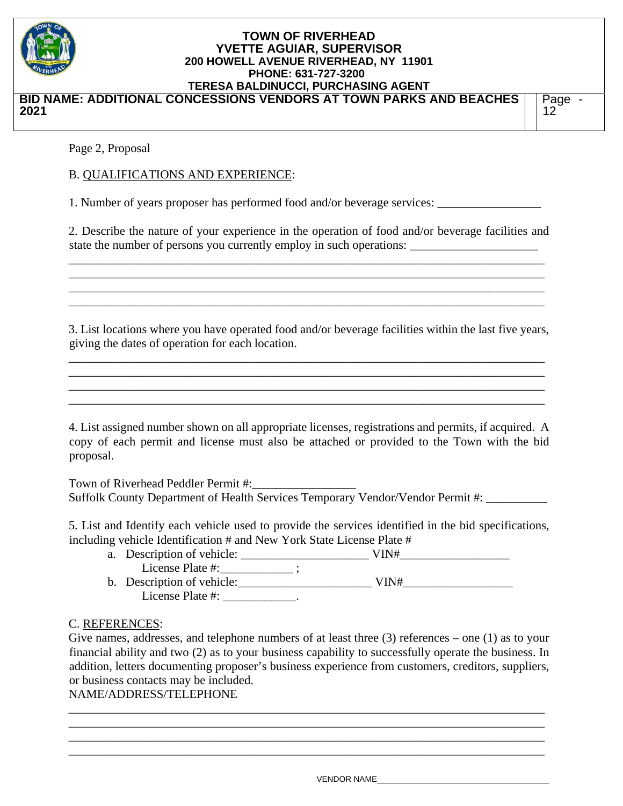

#### **TOWN OF RIVERHEAD YVETTE AGUIAR, SUPERVISOR 200 HOWELL AVENUE RIVERHEAD, NY 11901 PHONE: 631-727-3200 TERESA BALDINUCCI, PURCHASING AGENT BID NAME: ADDITIONAL CONCESSIONS VENDORS AT TOWN PARKS AND BEACHES**

Page 2, Proposal

# B. QUALIFICATIONS AND EXPERIENCE:

1. Number of years proposer has performed food and/or beverage services:

2. Describe the nature of your experience in the operation of food and/or beverage facilities and state the number of persons you currently employ in such operations: \_\_\_\_\_\_\_\_\_\_\_\_\_\_\_\_\_\_\_\_\_

\_\_\_\_\_\_\_\_\_\_\_\_\_\_\_\_\_\_\_\_\_\_\_\_\_\_\_\_\_\_\_\_\_\_\_\_\_\_\_\_\_\_\_\_\_\_\_\_\_\_\_\_\_\_\_\_\_\_\_\_\_\_\_\_\_\_\_\_\_\_\_\_\_\_\_\_\_\_ \_\_\_\_\_\_\_\_\_\_\_\_\_\_\_\_\_\_\_\_\_\_\_\_\_\_\_\_\_\_\_\_\_\_\_\_\_\_\_\_\_\_\_\_\_\_\_\_\_\_\_\_\_\_\_\_\_\_\_\_\_\_\_\_\_\_\_\_\_\_\_\_\_\_\_\_\_\_ \_\_\_\_\_\_\_\_\_\_\_\_\_\_\_\_\_\_\_\_\_\_\_\_\_\_\_\_\_\_\_\_\_\_\_\_\_\_\_\_\_\_\_\_\_\_\_\_\_\_\_\_\_\_\_\_\_\_\_\_\_\_\_\_\_\_\_\_\_\_\_\_\_\_\_\_\_\_ \_\_\_\_\_\_\_\_\_\_\_\_\_\_\_\_\_\_\_\_\_\_\_\_\_\_\_\_\_\_\_\_\_\_\_\_\_\_\_\_\_\_\_\_\_\_\_\_\_\_\_\_\_\_\_\_\_\_\_\_\_\_\_\_\_\_\_\_\_\_\_\_\_\_\_\_\_\_

3. List locations where you have operated food and/or beverage facilities within the last five years, giving the dates of operation for each location.

\_\_\_\_\_\_\_\_\_\_\_\_\_\_\_\_\_\_\_\_\_\_\_\_\_\_\_\_\_\_\_\_\_\_\_\_\_\_\_\_\_\_\_\_\_\_\_\_\_\_\_\_\_\_\_\_\_\_\_\_\_\_\_\_\_\_\_\_\_\_\_\_\_\_\_\_\_\_ \_\_\_\_\_\_\_\_\_\_\_\_\_\_\_\_\_\_\_\_\_\_\_\_\_\_\_\_\_\_\_\_\_\_\_\_\_\_\_\_\_\_\_\_\_\_\_\_\_\_\_\_\_\_\_\_\_\_\_\_\_\_\_\_\_\_\_\_\_\_\_\_\_\_\_\_\_\_ \_\_\_\_\_\_\_\_\_\_\_\_\_\_\_\_\_\_\_\_\_\_\_\_\_\_\_\_\_\_\_\_\_\_\_\_\_\_\_\_\_\_\_\_\_\_\_\_\_\_\_\_\_\_\_\_\_\_\_\_\_\_\_\_\_\_\_\_\_\_\_\_\_\_\_\_\_\_ \_\_\_\_\_\_\_\_\_\_\_\_\_\_\_\_\_\_\_\_\_\_\_\_\_\_\_\_\_\_\_\_\_\_\_\_\_\_\_\_\_\_\_\_\_\_\_\_\_\_\_\_\_\_\_\_\_\_\_\_\_\_\_\_\_\_\_\_\_\_\_\_\_\_\_\_\_\_

4. List assigned number shown on all appropriate licenses, registrations and permits, if acquired. A copy of each permit and license must also be attached or provided to the Town with the bid proposal.

Town of Riverhead Peddler Permit #:\_\_\_\_\_\_\_\_\_\_\_\_\_\_\_\_\_ Suffolk County Department of Health Services Temporary Vendor/Vendor Permit #: \_\_\_\_\_\_\_\_\_\_

5. List and Identify each vehicle used to provide the services identified in the bid specifications, including vehicle Identification # and New York State License Plate #

a. Description of vehicle: \_\_\_\_\_\_\_\_\_\_\_\_\_\_\_\_\_\_\_\_\_ VIN#\_\_\_\_\_\_\_\_\_\_\_\_\_\_\_\_\_\_ License Plate #:\_\_\_\_\_\_\_\_\_\_\_\_\_\_\_\_\_; b. Description of vehicle:  $\frac{1}{2}$  VIN# License Plate  $\#$ : \_\_\_\_\_\_\_\_\_\_\_\_\_.

# C. REFERENCES:

Give names, addresses, and telephone numbers of at least three (3) references – one (1) as to your financial ability and two (2) as to your business capability to successfully operate the business. In addition, letters documenting proposer's business experience from customers, creditors, suppliers, or business contacts may be included.

\_\_\_\_\_\_\_\_\_\_\_\_\_\_\_\_\_\_\_\_\_\_\_\_\_\_\_\_\_\_\_\_\_\_\_\_\_\_\_\_\_\_\_\_\_\_\_\_\_\_\_\_\_\_\_\_\_\_\_\_\_\_\_\_\_\_\_\_\_\_\_\_\_\_\_\_\_\_ \_\_\_\_\_\_\_\_\_\_\_\_\_\_\_\_\_\_\_\_\_\_\_\_\_\_\_\_\_\_\_\_\_\_\_\_\_\_\_\_\_\_\_\_\_\_\_\_\_\_\_\_\_\_\_\_\_\_\_\_\_\_\_\_\_\_\_\_\_\_\_\_\_\_\_\_\_\_ \_\_\_\_\_\_\_\_\_\_\_\_\_\_\_\_\_\_\_\_\_\_\_\_\_\_\_\_\_\_\_\_\_\_\_\_\_\_\_\_\_\_\_\_\_\_\_\_\_\_\_\_\_\_\_\_\_\_\_\_\_\_\_\_\_\_\_\_\_\_\_\_\_\_\_\_\_\_ \_\_\_\_\_\_\_\_\_\_\_\_\_\_\_\_\_\_\_\_\_\_\_\_\_\_\_\_\_\_\_\_\_\_\_\_\_\_\_\_\_\_\_\_\_\_\_\_\_\_\_\_\_\_\_\_\_\_\_\_\_\_\_\_\_\_\_\_\_\_\_\_\_\_\_\_\_\_

NAME/ADDRESS/TELEPHONE

VENDOR NAME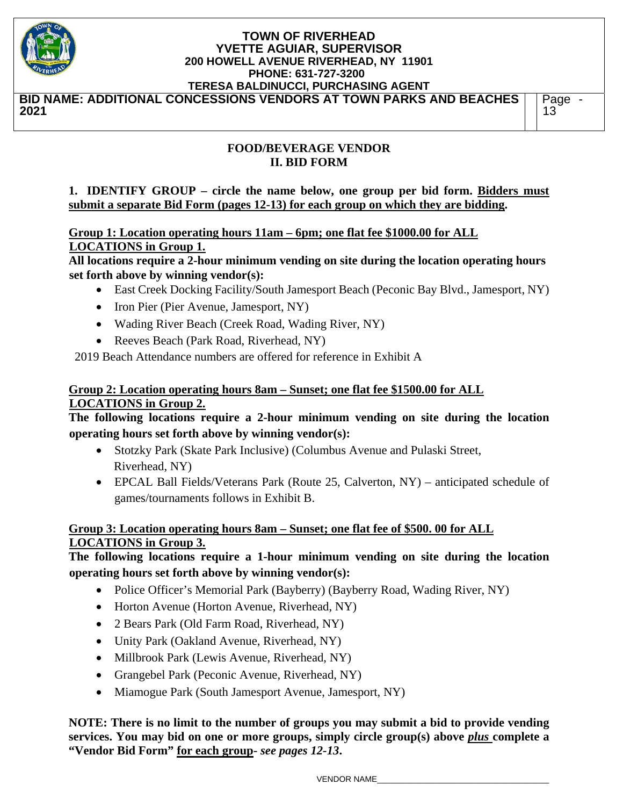

#### **TOWN OF RIVERHEAD YVETTE AGUIAR, SUPERVISOR 200 HOWELL AVENUE RIVERHEAD, NY 11901 PHONE: 631-727-3200 TERESA BALDINUCCI, PURCHASING AGENT BID NAME: ADDITIONAL CONCESSIONS VENDORS AT TOWN PARKS AND BEACHES**

Page - 13

# **FOOD/BEVERAGE VENDOR II. BID FORM**

**1. IDENTIFY GROUP – circle the name below, one group per bid form. Bidders must submit a separate Bid Form (pages 12-13) for each group on which they are bidding.**

# **Group 1: Location operating hours 11am – 6pm; one flat fee \$1000.00 for ALL LOCATIONS in Group 1.**

**All locations require a 2-hour minimum vending on site during the location operating hours set forth above by winning vendor(s):** 

- East Creek Docking Facility/South Jamesport Beach (Peconic Bay Blvd., Jamesport, NY)
- Iron Pier (Pier Avenue, Jamesport, NY)
- Wading River Beach (Creek Road, Wading River, NY)
- Reeves Beach (Park Road, Riverhead, NY)

2019 Beach Attendance numbers are offered for reference in Exhibit A

# **Group 2: Location operating hours 8am – Sunset; one flat fee \$1500.00 for ALL LOCATIONS in Group 2.**

**The following locations require a 2-hour minimum vending on site during the location operating hours set forth above by winning vendor(s):**

- Stotzky Park (Skate Park Inclusive) (Columbus Avenue and Pulaski Street, Riverhead, NY)
- EPCAL Ball Fields/Veterans Park (Route 25, Calverton, NY) anticipated schedule of games/tournaments follows in Exhibit B.

# **Group 3: Location operating hours 8am – Sunset; one flat fee of \$500. 00 for ALL LOCATIONS in Group 3.**

**The following locations require a 1-hour minimum vending on site during the location operating hours set forth above by winning vendor(s):**

- Police Officer's Memorial Park (Bayberry) (Bayberry Road, Wading River, NY)
- Horton Avenue (Horton Avenue, Riverhead, NY)
- 2 Bears Park (Old Farm Road, Riverhead, NY)
- Unity Park (Oakland Avenue, Riverhead, NY)
- Millbrook Park (Lewis Avenue, Riverhead, NY)
- Grangebel Park (Peconic Avenue, Riverhead, NY)
- Miamogue Park (South Jamesport Avenue, Jamesport, NY)

**NOTE: There is no limit to the number of groups you may submit a bid to provide vending services. You may bid on one or more groups, simply circle group(s) above** *plus* **complete a "Vendor Bid Form" for each group-** *see pages 12-13***.**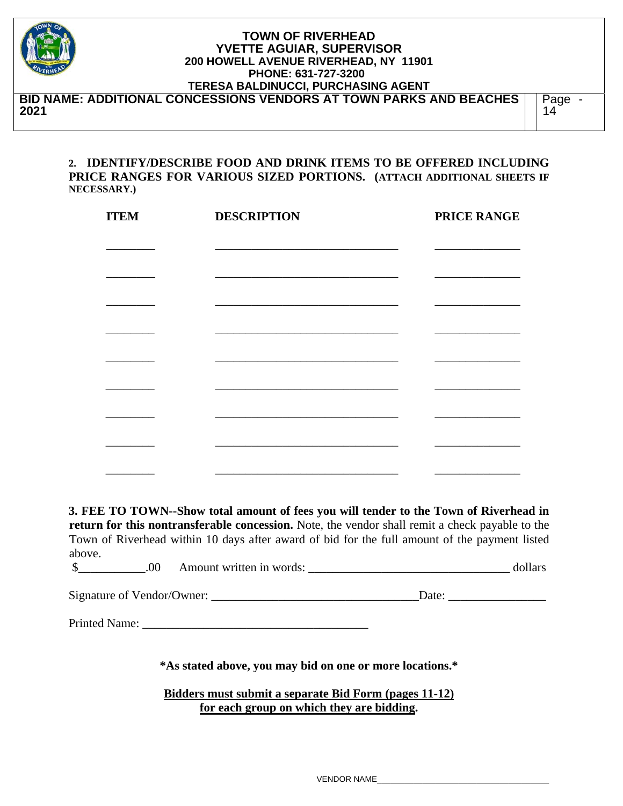

#### **TOWN OF RIVERHEAD YVETTE AGUIAR, SUPERVISOR 200 HOWELL AVENUE RIVERHEAD, NY 11901 PHONE: 631-727-3200 TERESA BALDINUCCI, PURCHASING AGENT BID NAME: ADDITIONAL CONCESSIONS VENDORS AT TOWN PARKS AND BEACHES**

Page - 14

#### **2. IDENTIFY/DESCRIBE FOOD AND DRINK ITEMS TO BE OFFERED INCLUDING PRICE RANGES FOR VARIOUS SIZED PORTIONS. (ATTACH ADDITIONAL SHEETS IF NECESSARY.)**

| <b>DESCRIPTION</b><br><b>ITEM</b> |                                                                                           | <b>PRICE RANGE</b> |
|-----------------------------------|-------------------------------------------------------------------------------------------|--------------------|
|                                   |                                                                                           |                    |
|                                   |                                                                                           |                    |
|                                   | the control of the control of the control of the control of the control of the control of |                    |
|                                   |                                                                                           |                    |
|                                   |                                                                                           |                    |
|                                   |                                                                                           |                    |
|                                   |                                                                                           |                    |
|                                   |                                                                                           |                    |
|                                   |                                                                                           |                    |

**3. FEE TO TOWN--Show total amount of fees you will tender to the Town of Riverhead in return for this nontransferable concession.** Note, the vendor shall remit a check payable to the Town of Riverhead within 10 days after award of bid for the full amount of the payment listed above.

\$\_\_\_\_\_\_\_\_\_\_\_.00 Amount written in words: \_\_\_\_\_\_\_\_\_\_\_\_\_\_\_\_\_\_\_\_\_\_\_\_\_\_\_\_\_\_\_\_\_ dollars

| Signature of Vendor/Owner: | Jate <sup>.</sup> |
|----------------------------|-------------------|
|                            |                   |

Printed Name:

**\*As stated above, you may bid on one or more locations.\*** 

**Bidders must submit a separate Bid Form (pages 11-12) for each group on which they are bidding.**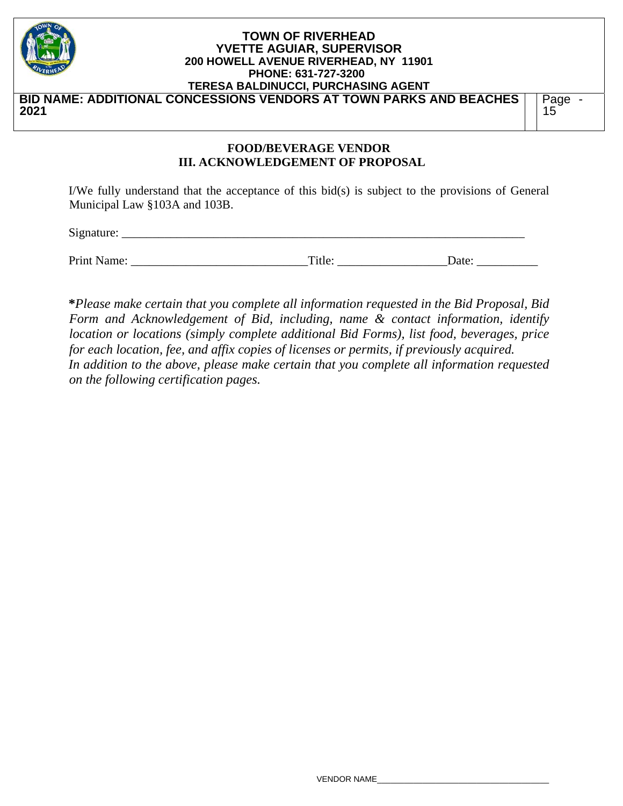|      | <b>TOWN OF RIVERHEAD</b><br><b>YVETTE AGUIAR, SUPERVISOR</b><br>200 HOWELL AVENUE RIVERHEAD, NY 11901<br>PHONE: 631-727-3200 |            |
|------|------------------------------------------------------------------------------------------------------------------------------|------------|
|      | TERESA BALDINUCCI, PURCHASING AGENT                                                                                          |            |
| 2021 | BID NAME: ADDITIONAL CONCESSIONS VENDORS AT TOWN PARKS AND BEACHES                                                           | Page<br>15 |

#### **FOOD/BEVERAGE VENDOR III. ACKNOWLEDGEMENT OF PROPOSAL**

I/We fully understand that the acceptance of this bid(s) is subject to the provisions of General Municipal Law §103A and 103B.

Signature:

**2021** 

Print Name: \_\_\_\_\_\_\_\_\_\_\_\_\_\_\_\_\_\_\_\_\_\_\_\_\_\_\_\_\_Title: \_\_\_\_\_\_\_\_\_\_\_\_\_\_\_\_\_\_Date: \_\_\_\_\_\_\_\_\_\_

**\****Please make certain that you complete all information requested in the Bid Proposal, Bid Form and Acknowledgement of Bid, including, name & contact information, identify location or locations (simply complete additional Bid Forms), list food, beverages, price for each location, fee, and affix copies of licenses or permits, if previously acquired. In addition to the above, please make certain that you complete all information requested on the following certification pages.*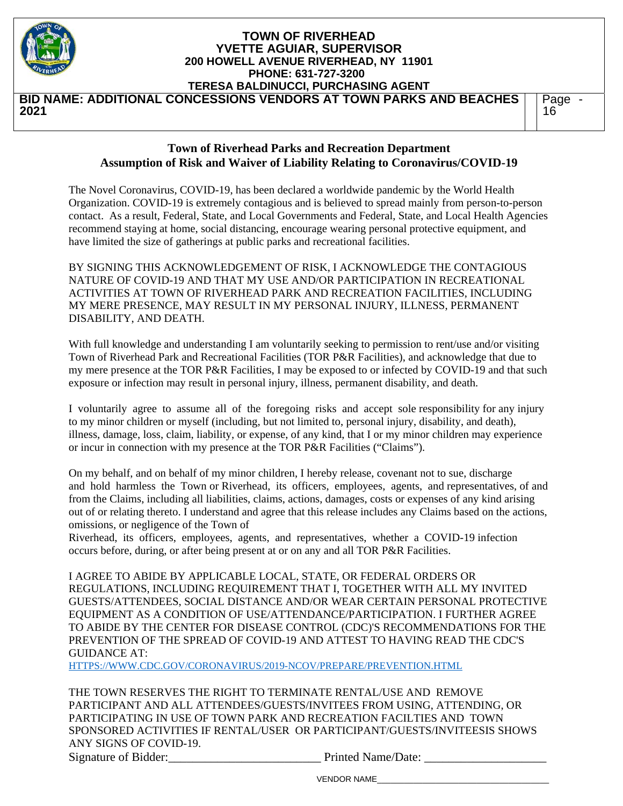

#### **TOWN OF RIVERHEAD YVETTE AGUIAR, SUPERVISOR 200 HOWELL AVENUE RIVERHEAD, NY 11901 PHONE: 631-727-3200 TERESA BALDINUCCI, PURCHASING AGENT BID NAME: ADDITIONAL CONCESSIONS VENDORS AT TOWN PARKS AND BEACHES**

Page - 16

#### **Town of Riverhead Parks and Recreation Department Assumption of Risk and Waiver of Liability Relating to Coronavirus/COVID-19**

The Novel Coronavirus, COVID-19, has been declared a worldwide pandemic by the World Health Organization. COVID-19 is extremely contagious and is believed to spread mainly from person-to-person contact. As a result, Federal, State, and Local Governments and Federal, State, and Local Health Agencies recommend staying at home, social distancing, encourage wearing personal protective equipment, and have limited the size of gatherings at public parks and recreational facilities.

BY SIGNING THIS ACKNOWLEDGEMENT OF RISK, I ACKNOWLEDGE THE CONTAGIOUS NATURE OF COVID-19 AND THAT MY USE AND/OR PARTICIPATION IN RECREATIONAL ACTIVITIES AT TOWN OF RIVERHEAD PARK AND RECREATION FACILITIES, INCLUDING MY MERE PRESENCE, MAY RESULT IN MY PERSONAL INJURY, ILLNESS, PERMANENT DISABILITY, AND DEATH.

With full knowledge and understanding I am voluntarily seeking to permission to rent/use and/or visiting Town of Riverhead Park and Recreational Facilities (TOR P&R Facilities), and acknowledge that due to my mere presence at the TOR P&R Facilities, I may be exposed to or infected by COVID-19 and that such exposure or infection may result in personal injury, illness, permanent disability, and death.

I voluntarily agree to assume all of the foregoing risks and accept sole responsibility for any injury to my minor children or myself (including, but not limited to, personal injury, disability, and death), illness, damage, loss, claim, liability, or expense, of any kind, that I or my minor children may experience or incur in connection with my presence at the TOR P&R Facilities ("Claims").

On my behalf, and on behalf of my minor children, I hereby release, covenant not to sue, discharge and hold harmless the Town or Riverhead, its officers, employees, agents, and representatives, of and from the Claims, including all liabilities, claims, actions, damages, costs or expenses of any kind arising out of or relating thereto. I understand and agree that this release includes any Claims based on the actions, omissions, or negligence of the Town of

Riverhead, its officers, employees, agents, and representatives, whether a COVID-19 infection occurs before, during, or after being present at or on any and all TOR P&R Facilities.

I AGREE TO ABIDE BY APPLICABLE LOCAL, STATE, OR FEDERAL ORDERS OR REGULATIONS, INCLUDING REQUIREMENT THAT I, TOGETHER WITH ALL MY INVITED GUESTS/ATTENDEES, SOCIAL DISTANCE AND/OR WEAR CERTAIN PERSONAL PROTECTIVE EQUIPMENT AS A CONDITION OF USE/ATTENDANCE/PARTICIPATION. I FURTHER AGREE TO ABIDE BY THE CENTER FOR DISEASE CONTROL (CDC)'S RECOMMENDATIONS FOR THE PREVENTION OF THE SPREAD OF COVID-19 AND ATTEST TO HAVING READ THE CDC'S GUIDANCE AT:

HTTPS://WWW.CDC.GOV/CORONAVIRUS/2019-NCOV/PREPARE/PREVENTION.HTML

THE TOWN RESERVES THE RIGHT TO TERMINATE RENTAL/USE AND REMOVE PARTICIPANT AND ALL ATTENDEES/GUESTS/INVITEES FROM USING, ATTENDING, OR PARTICIPATING IN USE OF TOWN PARK AND RECREATION FACILTIES AND TOWN SPONSORED ACTIVITIES IF RENTAL/USER OR PARTICIPANT/GUESTS/INVITEESIS SHOWS ANY SIGNS OF COVID-19. Signature of Bidder:\_\_\_\_\_\_\_\_\_\_\_\_\_\_\_\_\_\_\_\_\_\_\_\_\_ Printed Name/Date: \_\_\_\_\_\_\_\_\_\_\_\_\_\_\_\_\_\_\_\_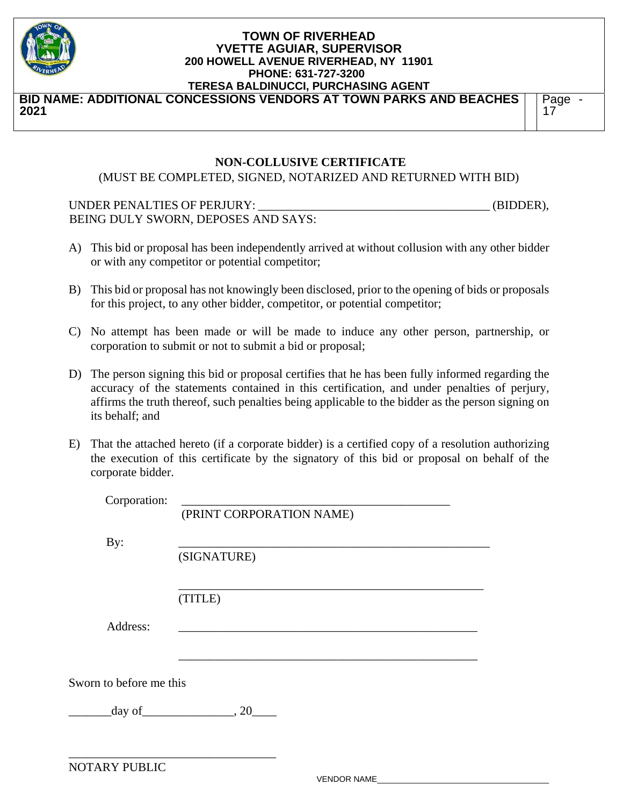

#### **TOWN OF RIVERHEAD YVETTE AGUIAR, SUPERVISOR 200 HOWELL AVENUE RIVERHEAD, NY 11901 PHONE: 631-727-3200 TERESA BALDINUCCI, PURCHASING AGENT BID NAME: ADDITIONAL CONCESSIONS VENDORS AT TOWN PARKS AND BEACHES**

Page - 17

# **NON-COLLUSIVE CERTIFICATE**

(MUST BE COMPLETED, SIGNED, NOTARIZED AND RETURNED WITH BID)

UNDER PENALTIES OF PERJURY: \_\_\_\_\_\_\_\_\_\_\_\_\_\_\_\_\_\_\_\_\_\_\_\_\_\_\_\_\_\_\_\_\_\_\_\_\_\_ (BIDDER), BEING DULY SWORN, DEPOSES AND SAYS:

- A) This bid or proposal has been independently arrived at without collusion with any other bidder or with any competitor or potential competitor;
- B) This bid or proposal has not knowingly been disclosed, prior to the opening of bids or proposals for this project, to any other bidder, competitor, or potential competitor;
- C) No attempt has been made or will be made to induce any other person, partnership, or corporation to submit or not to submit a bid or proposal;
- D) The person signing this bid or proposal certifies that he has been fully informed regarding the accuracy of the statements contained in this certification, and under penalties of perjury, affirms the truth thereof, such penalties being applicable to the bidder as the person signing on its behalf; and
- E) That the attached hereto (if a corporate bidder) is a certified copy of a resolution authorizing the execution of this certificate by the signatory of this bid or proposal on behalf of the corporate bidder.

| Corporation:            |                          |
|-------------------------|--------------------------|
|                         | (PRINT CORPORATION NAME) |
| By:                     |                          |
|                         | (SIGNATURE)              |
|                         |                          |
|                         | (TITLE)                  |
| Address:                |                          |
|                         |                          |
|                         |                          |
| Sworn to before me this |                          |
|                         |                          |
|                         |                          |
|                         |                          |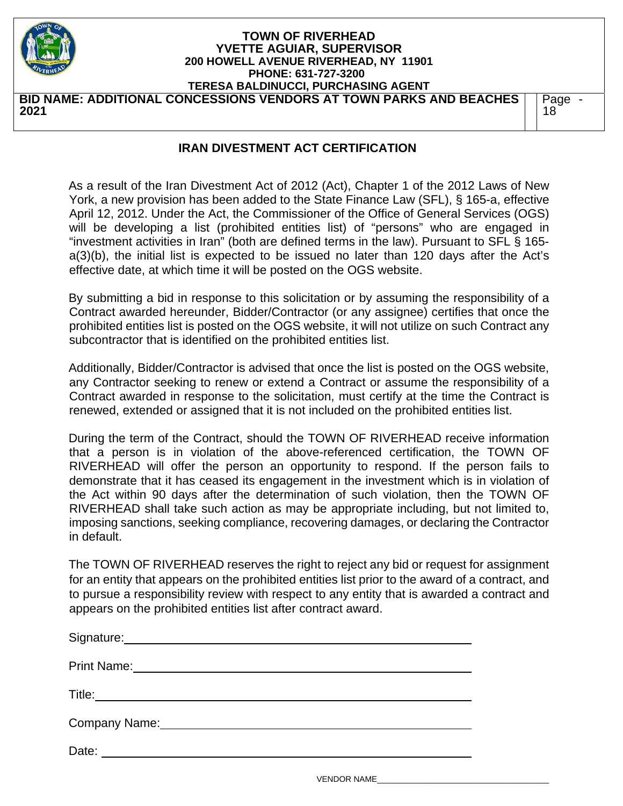|      | <b>TOWN OF RIVERHEAD</b><br><b>YVETTE AGUIAR, SUPERVISOR</b><br>200 HOWELL AVENUE RIVERHEAD, NY 11901<br>PHONE: 631-727-3200<br><b>TERESA BALDINUCCI, PURCHASING AGENT</b> |
|------|----------------------------------------------------------------------------------------------------------------------------------------------------------------------------|
| 2021 | BID NAME: ADDITIONAL CONCESSIONS VENDORS AT TOWN PARKS AND BEACHES<br>Page<br>18                                                                                           |

#### **IRAN DIVESTMENT ACT CERTIFICATION**

As a result of the Iran Divestment Act of 2012 (Act), Chapter 1 of the 2012 Laws of New York, a new provision has been added to the State Finance Law (SFL), § 165-a, effective April 12, 2012. Under the Act, the Commissioner of the Office of General Services (OGS) will be developing a list (prohibited entities list) of "persons" who are engaged in "investment activities in Iran" (both are defined terms in the law). Pursuant to SFL § 165 a(3)(b), the initial list is expected to be issued no later than 120 days after the Act's effective date, at which time it will be posted on the OGS website.

By submitting a bid in response to this solicitation or by assuming the responsibility of a Contract awarded hereunder, Bidder/Contractor (or any assignee) certifies that once the prohibited entities list is posted on the OGS website, it will not utilize on such Contract any subcontractor that is identified on the prohibited entities list.

Additionally, Bidder/Contractor is advised that once the list is posted on the OGS website, any Contractor seeking to renew or extend a Contract or assume the responsibility of a Contract awarded in response to the solicitation, must certify at the time the Contract is renewed, extended or assigned that it is not included on the prohibited entities list.

During the term of the Contract, should the TOWN OF RIVERHEAD receive information that a person is in violation of the above-referenced certification, the TOWN OF RIVERHEAD will offer the person an opportunity to respond. If the person fails to demonstrate that it has ceased its engagement in the investment which is in violation of the Act within 90 days after the determination of such violation, then the TOWN OF RIVERHEAD shall take such action as may be appropriate including, but not limited to, imposing sanctions, seeking compliance, recovering damages, or declaring the Contractor in default.

The TOWN OF RIVERHEAD reserves the right to reject any bid or request for assignment for an entity that appears on the prohibited entities list prior to the award of a contract, and to pursue a responsibility review with respect to any entity that is awarded a contract and appears on the prohibited entities list after contract award.

| Signature: <u>Cambridge</u> |  |
|-----------------------------|--|
| <b>Print Name:</b>          |  |
| Title:                      |  |
| Company Name:               |  |
| Date:                       |  |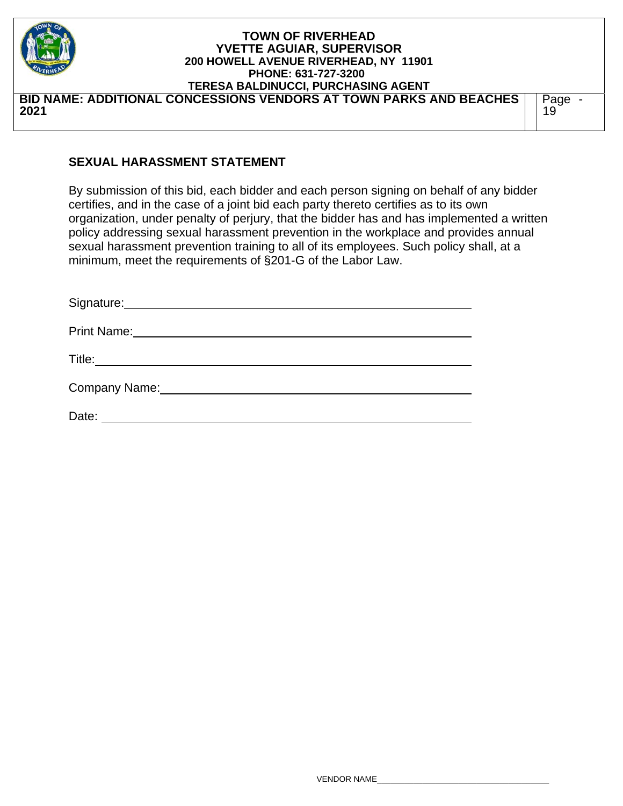

#### **TOWN OF RIVERHEAD YVETTE AGUIAR, SUPERVISOR 200 HOWELL AVENUE RIVERHEAD, NY 11901 PHONE: 631-727-3200 TERESA BALDINUCCI, PURCHASING AGENT BID NAME: ADDITIONAL CONCESSIONS VENDORS AT TOWN PARKS AND BEACHES**

Page - 19

# **SEXUAL HARASSMENT STATEMENT**

By submission of this bid, each bidder and each person signing on behalf of any bidder certifies, and in the case of a joint bid each party thereto certifies as to its own organization, under penalty of perjury, that the bidder has and has implemented a written policy addressing sexual harassment prevention in the workplace and provides annual sexual harassment prevention training to all of its employees. Such policy shall, at a minimum, meet the requirements of §201-G of the Labor Law.

| Signature:    |  |
|---------------|--|
| Print Name:   |  |
| Title:        |  |
| Company Name: |  |
| Date:         |  |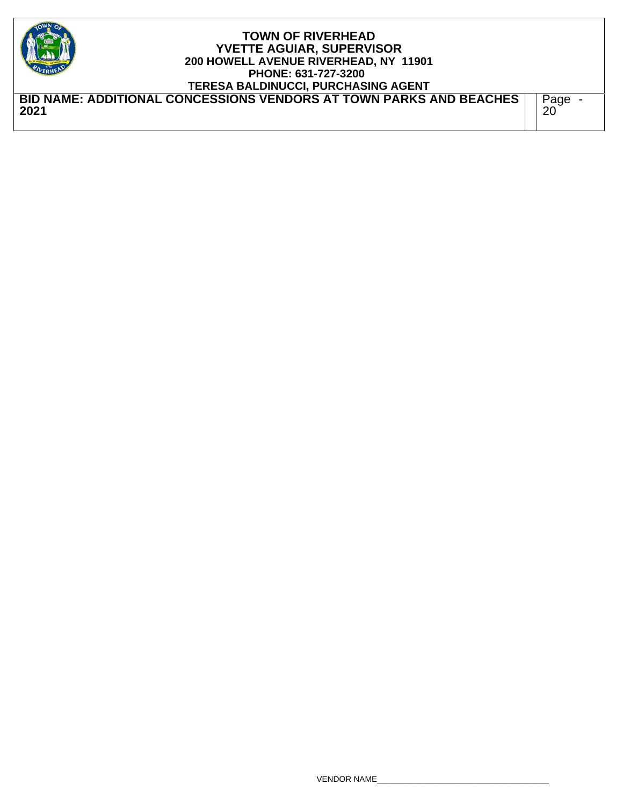

#### **TOWN OF RIVERHEAD YVETTE AGUIAR, SUPERVISOR 200 HOWELL AVENUE RIVERHEAD, NY 11901 PHONE: 631-727-3200 TERESA BALDINUCCI, PURCHASING AGENT BID NAME: ADDITIONAL CONCESSIONS VENDORS AT TOWN PARKS AND BEACHES**

Page - 20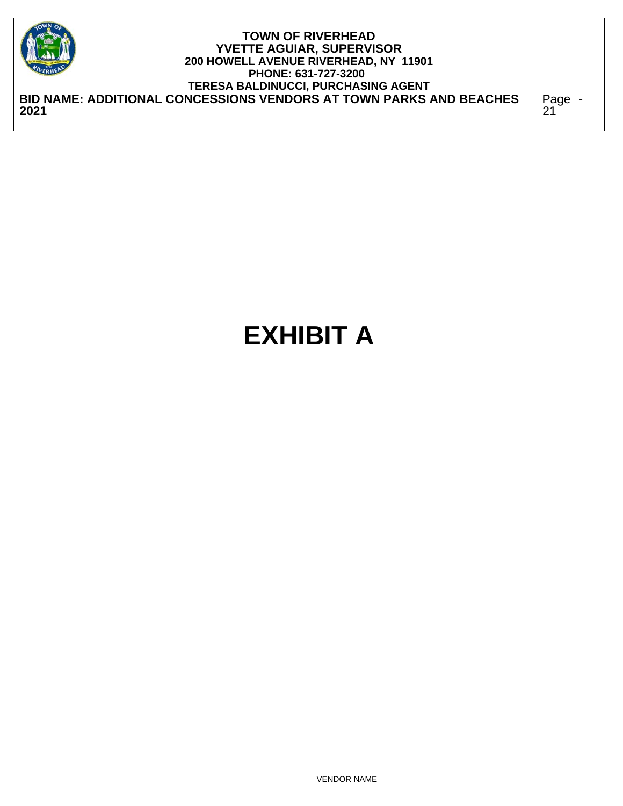

#### **TOWN OF RIVERHEAD YVETTE AGUIAR, SUPERVISOR 200 HOWELL AVENUE RIVERHEAD, NY 11901 PHONE: 631-727-3200 TERESA BALDINUCCI, PURCHASING AGENT BID NAME: ADDITIONAL CONCESSIONS VENDORS AT TOWN PARKS AND BEACHES**

Page - 21

# **EXHIBIT A**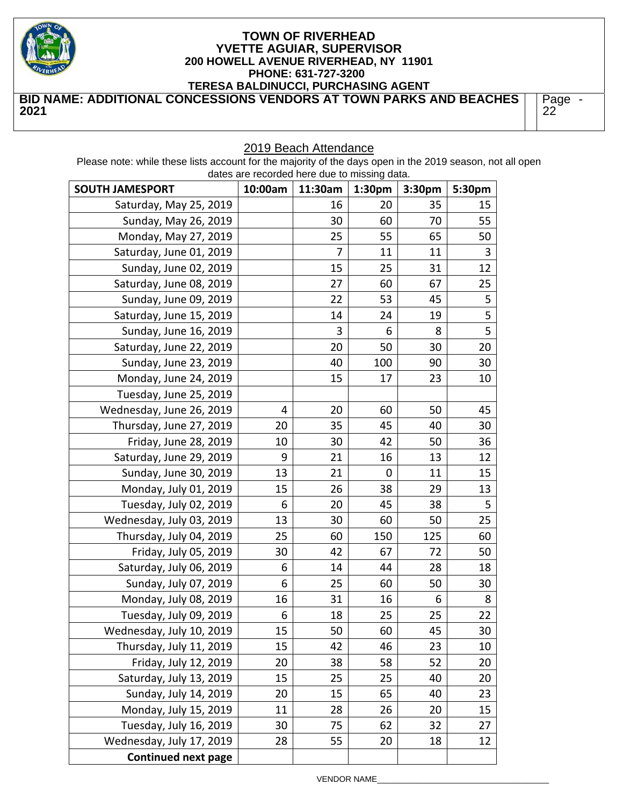

#### **TOWN OF RIVERHEAD YVETTE AGUIAR, SUPERVISOR 200 HOWELL AVENUE RIVERHEAD, NY 11901 PHONE: 631-727-3200 TERESA BALDINUCCI, PURCHASING AGENT BID NAME: ADDITIONAL CONCESSIONS VENDORS AT TOWN PARKS AND BEACHES**

Page - 22

#### 2019 Beach Attendance

Please note: while these lists account for the majority of the days open in the 2019 season, not all open dates are recorded here due to missing data.

| <b>SOUTH JAMESPORT</b>     | 10:00am | 11:30am        | 1:30pm | 3:30pm | 5:30pm |
|----------------------------|---------|----------------|--------|--------|--------|
| Saturday, May 25, 2019     |         | 16             | 20     | 35     | 15     |
| Sunday, May 26, 2019       |         | 30             | 60     | 70     | 55     |
| Monday, May 27, 2019       |         | 25             | 55     | 65     | 50     |
| Saturday, June 01, 2019    |         | $\overline{7}$ | 11     | 11     | 3      |
| Sunday, June 02, 2019      |         | 15             | 25     | 31     | 12     |
| Saturday, June 08, 2019    |         | 27             | 60     | 67     | 25     |
| Sunday, June 09, 2019      |         | 22             | 53     | 45     | 5      |
| Saturday, June 15, 2019    |         | 14             | 24     | 19     | 5      |
| Sunday, June 16, 2019      |         | 3              | 6      | 8      | 5      |
| Saturday, June 22, 2019    |         | 20             | 50     | 30     | 20     |
| Sunday, June 23, 2019      |         | 40             | 100    | 90     | 30     |
| Monday, June 24, 2019      |         | 15             | 17     | 23     | 10     |
| Tuesday, June 25, 2019     |         |                |        |        |        |
| Wednesday, June 26, 2019   | 4       | 20             | 60     | 50     | 45     |
| Thursday, June 27, 2019    | 20      | 35             | 45     | 40     | 30     |
| Friday, June 28, 2019      | 10      | 30             | 42     | 50     | 36     |
| Saturday, June 29, 2019    | 9       | 21             | 16     | 13     | 12     |
| Sunday, June 30, 2019      | 13      | 21             | 0      | 11     | 15     |
| Monday, July 01, 2019      | 15      | 26             | 38     | 29     | 13     |
| Tuesday, July 02, 2019     | 6       | 20             | 45     | 38     | 5      |
| Wednesday, July 03, 2019   | 13      | 30             | 60     | 50     | 25     |
| Thursday, July 04, 2019    | 25      | 60             | 150    | 125    | 60     |
| Friday, July 05, 2019      | 30      | 42             | 67     | 72     | 50     |
| Saturday, July 06, 2019    | 6       | 14             | 44     | 28     | 18     |
| Sunday, July 07, 2019      | 6       | 25             | 60     | 50     | 30     |
| Monday, July 08, 2019      | 16      | 31             | 16     | 6      | 8      |
| Tuesday, July 09, 2019     | 6       | 18             | 25     | 25     | 22     |
| Wednesday, July 10, 2019   | 15      | 50             | 60     | 45     | 30     |
| Thursday, July 11, 2019    | 15      | 42             | 46     | 23     | 10     |
| Friday, July 12, 2019      | 20      | 38             | 58     | 52     | 20     |
| Saturday, July 13, 2019    | 15      | 25             | 25     | 40     | 20     |
| Sunday, July 14, 2019      | 20      | 15             | 65     | 40     | 23     |
| Monday, July 15, 2019      | 11      | 28             | 26     | 20     | 15     |
| Tuesday, July 16, 2019     | 30      | 75             | 62     | 32     | 27     |
| Wednesday, July 17, 2019   | 28      | 55             | 20     | 18     | 12     |
| <b>Continued next page</b> |         |                |        |        |        |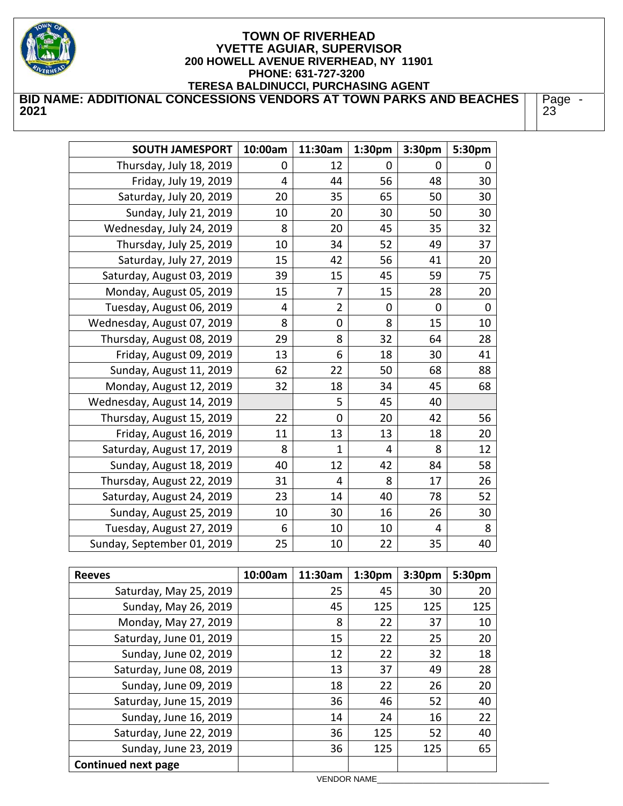

#### **TOWN OF RIVERHEAD YVETTE AGUIAR, SUPERVISOR 200 HOWELL AVENUE RIVERHEAD, NY 11901 PHONE: 631-727-3200 TERESA BALDINUCCI, PURCHASING AGENT BID NAME: ADDITIONAL CONCESSIONS VENDORS AT TOWN PARKS AND BEACHES**

Page - 23

| <b>SOUTH JAMESPORT</b>     | 10:00am | 11:30am        | 1:30pm | 3:30pm         | 5:30pm    |
|----------------------------|---------|----------------|--------|----------------|-----------|
| Thursday, July 18, 2019    | 0       | 12             | 0      | 0              | 0         |
|                            | 4       | 44             | 56     | 48             | 30        |
| Friday, July 19, 2019      |         |                |        |                |           |
| Saturday, July 20, 2019    | 20      | 35             | 65     | 50             | 30        |
| Sunday, July 21, 2019      | 10      | 20             | 30     | 50             | 30        |
| Wednesday, July 24, 2019   | 8       | 20             | 45     | 35             | 32        |
| Thursday, July 25, 2019    | 10      | 34             | 52     | 49             | 37        |
| Saturday, July 27, 2019    | 15      | 42             | 56     | 41             | 20        |
| Saturday, August 03, 2019  | 39      | 15             | 45     | 59             | 75        |
| Monday, August 05, 2019    | 15      | 7              | 15     | 28             | 20        |
| Tuesday, August 06, 2019   | 4       | $\overline{2}$ | 0      | $\overline{0}$ | $\pmb{0}$ |
| Wednesday, August 07, 2019 | 8       | $\mathbf 0$    | 8      | 15             | 10        |
| Thursday, August 08, 2019  | 29      | 8              | 32     | 64             | 28        |
| Friday, August 09, 2019    | 13      | 6              | 18     | 30             | 41        |
| Sunday, August 11, 2019    | 62      | 22             | 50     | 68             | 88        |
| Monday, August 12, 2019    | 32      | 18             | 34     | 45             | 68        |
| Wednesday, August 14, 2019 |         | 5              | 45     | 40             |           |
| Thursday, August 15, 2019  | 22      | $\overline{0}$ | 20     | 42             | 56        |
| Friday, August 16, 2019    | 11      | 13             | 13     | 18             | 20        |
| Saturday, August 17, 2019  | 8       | 1              | 4      | 8              | 12        |
| Sunday, August 18, 2019    | 40      | 12             | 42     | 84             | 58        |
| Thursday, August 22, 2019  | 31      | 4              | 8      | 17             | 26        |
| Saturday, August 24, 2019  | 23      | 14             | 40     | 78             | 52        |
| Sunday, August 25, 2019    | 10      | 30             | 16     | 26             | 30        |
| Tuesday, August 27, 2019   | 6       | 10             | 10     | 4              | 8         |
| Sunday, September 01, 2019 | 25      | 10             | 22     | 35             | 40        |

| <b>Reeves</b>              | 10:00am | 11:30am | 1:30pm | 3:30 <sub>pm</sub> | 5:30pm |
|----------------------------|---------|---------|--------|--------------------|--------|
| Saturday, May 25, 2019     |         | 25      | 45     | 30                 | 20     |
| Sunday, May 26, 2019       |         | 45      | 125    | 125                | 125    |
| Monday, May 27, 2019       |         | 8       | 22     | 37                 | 10     |
| Saturday, June 01, 2019    |         | 15      | 22     | 25                 | 20     |
| Sunday, June 02, 2019      |         | 12      | 22     | 32                 | 18     |
| Saturday, June 08, 2019    |         | 13      | 37     | 49                 | 28     |
| Sunday, June 09, 2019      |         | 18      | 22     | 26                 | 20     |
| Saturday, June 15, 2019    |         | 36      | 46     | 52                 | 40     |
| Sunday, June 16, 2019      |         | 14      | 24     | 16                 | 22     |
| Saturday, June 22, 2019    |         | 36      | 125    | 52                 | 40     |
| Sunday, June 23, 2019      |         | 36      | 125    | 125                | 65     |
| <b>Continued next page</b> |         |         |        |                    |        |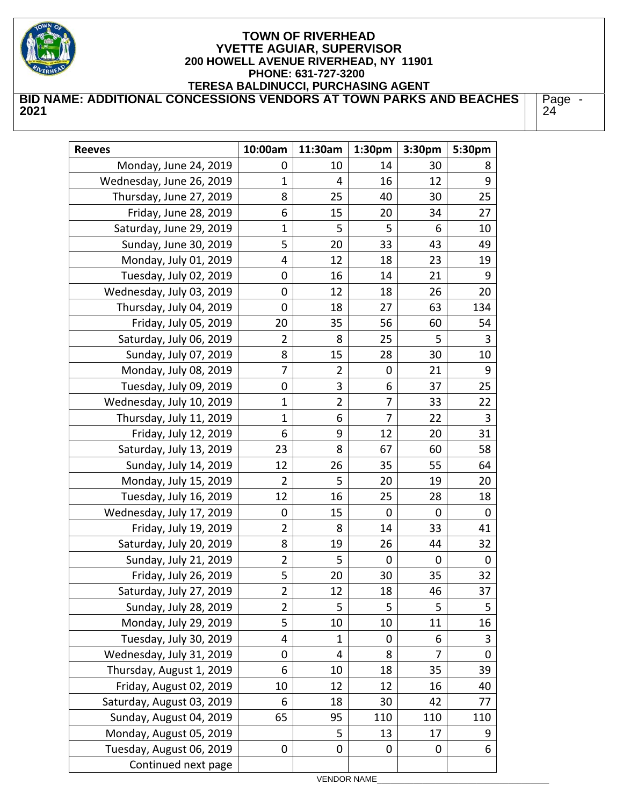

#### **TOWN OF RIVERHEAD YVETTE AGUIAR, SUPERVISOR 200 HOWELL AVENUE RIVERHEAD, NY 11901 PHONE: 631-727-3200 TERESA BALDINUCCI, PURCHASING AGENT BID NAME: ADDITIONAL CONCESSIONS VENDORS AT TOWN PARKS AND BEACHES**

Page - 24

| <b>Reeves</b>             | 10:00am        | 11:30am        | 1:30pm      | 3:30pm      | 5:30pm      |
|---------------------------|----------------|----------------|-------------|-------------|-------------|
| Monday, June 24, 2019     | 0              | 10             | 14          | 30          | 8           |
| Wednesday, June 26, 2019  | 1              | 4              | 16          | 12          | 9           |
| Thursday, June 27, 2019   | 8              | 25             | 40          | 30          | 25          |
| Friday, June 28, 2019     | 6              | 15             | 20          | 34          | 27          |
| Saturday, June 29, 2019   | 1              | 5              | 5           | 6           | 10          |
| Sunday, June 30, 2019     | 5              | 20             | 33          | 43          | 49          |
| Monday, July 01, 2019     | 4              | 12             | 18          | 23          | 19          |
| Tuesday, July 02, 2019    | $\mathbf 0$    | 16             | 14          | 21          | 9           |
| Wednesday, July 03, 2019  | 0              | 12             | 18          | 26          | 20          |
| Thursday, July 04, 2019   | $\mathbf 0$    | 18             | 27          | 63          | 134         |
| Friday, July 05, 2019     | 20             | 35             | 56          | 60          | 54          |
| Saturday, July 06, 2019   | $\overline{2}$ | 8              | 25          | 5           | 3           |
| Sunday, July 07, 2019     | 8              | 15             | 28          | 30          | 10          |
| Monday, July 08, 2019     | 7              | $\overline{2}$ | $\mathbf 0$ | 21          | 9           |
| Tuesday, July 09, 2019    | 0              | 3              | 6           | 37          | 25          |
| Wednesday, July 10, 2019  | $\mathbf 1$    | $\overline{2}$ | 7           | 33          | 22          |
| Thursday, July 11, 2019   | 1              | 6              | 7           | 22          | 3           |
| Friday, July 12, 2019     | 6              | 9              | 12          | 20          | 31          |
| Saturday, July 13, 2019   | 23             | 8              | 67          | 60          | 58          |
| Sunday, July 14, 2019     | 12             | 26             | 35          | 55          | 64          |
| Monday, July 15, 2019     | $\overline{2}$ | 5              | 20          | 19          | 20          |
| Tuesday, July 16, 2019    | 12             | 16             | 25          | 28          | 18          |
| Wednesday, July 17, 2019  | 0              | 15             | $\mathbf 0$ | $\mathbf 0$ | 0           |
| Friday, July 19, 2019     | $\overline{2}$ | 8              | 14          | 33          | 41          |
| Saturday, July 20, 2019   | 8              | 19             | 26          | 44          | 32          |
| Sunday, July 21, 2019     | $\overline{2}$ | 5              | $\mathbf 0$ | $\mathbf 0$ | 0           |
| Friday, July 26, 2019     | 5              | 20             | 30          | 35          | 32          |
| Saturday, July 27, 2019   | $\overline{2}$ | 12             | 18          | 46          | 37          |
| Sunday, July 28, 2019     | $\overline{2}$ | 5              | 5           | 5           | 5           |
| Monday, July 29, 2019     | 5              | 10             | 10          | 11          | 16          |
| Tuesday, July 30, 2019    | 4              | 1              | 0           | 6           | 3           |
| Wednesday, July 31, 2019  | 0              | 4              | 8           | 7           | $\mathbf 0$ |
| Thursday, August 1, 2019  | 6              | 10             | 18          | 35          | 39          |
| Friday, August 02, 2019   | 10             | 12             | 12          | 16          | 40          |
| Saturday, August 03, 2019 | 6              | 18             | 30          | 42          | 77          |
| Sunday, August 04, 2019   | 65             | 95             | 110         | 110         | 110         |
| Monday, August 05, 2019   |                | 5              | 13          | 17          | 9           |
| Tuesday, August 06, 2019  | $\mathbf 0$    | $\mathbf 0$    | $\mathbf 0$ | $\mathbf 0$ | 6           |
| Continued next page       |                |                |             |             |             |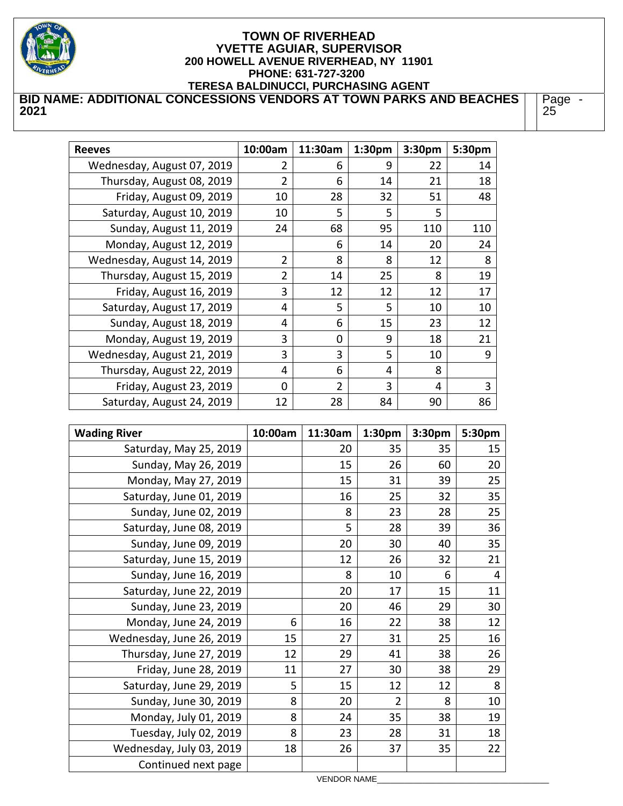

#### **TOWN OF RIVERHEAD YVETTE AGUIAR, SUPERVISOR 200 HOWELL AVENUE RIVERHEAD, NY 11901 PHONE: 631-727-3200 TERESA BALDINUCCI, PURCHASING AGENT BID NAME: ADDITIONAL CONCESSIONS VENDORS AT TOWN PARKS AND BEACHES**

Page - 25

| <b>Reeves</b>              | 10:00am        | 11:30am        | 1:30pm | 3:30pm | 5:30pm |
|----------------------------|----------------|----------------|--------|--------|--------|
|                            |                |                |        |        |        |
| Wednesday, August 07, 2019 | 2              | 6              | 9      | 22     | 14     |
| Thursday, August 08, 2019  | 2              | 6              | 14     | 21     | 18     |
| Friday, August 09, 2019    | 10             | 28             | 32     | 51     | 48     |
| Saturday, August 10, 2019  | 10             | 5              | 5      | 5      |        |
| Sunday, August 11, 2019    | 24             | 68             | 95     | 110    | 110    |
| Monday, August 12, 2019    |                | 6              | 14     | 20     | 24     |
| Wednesday, August 14, 2019 | $\overline{2}$ | 8              | 8      | 12     | 8      |
| Thursday, August 15, 2019  | 2              | 14             | 25     | 8      | 19     |
| Friday, August 16, 2019    | 3              | 12             | 12     | 12     | 17     |
| Saturday, August 17, 2019  | 4              | 5              | 5      | 10     | 10     |
| Sunday, August 18, 2019    | 4              | 6              | 15     | 23     | 12     |
| Monday, August 19, 2019    | 3              | 0              | 9      | 18     | 21     |
| Wednesday, August 21, 2019 | 3              | 3              | 5      | 10     | 9      |
| Thursday, August 22, 2019  | 4              | 6              | 4      | 8      |        |
| Friday, August 23, 2019    | $\Omega$       | $\mathfrak{p}$ | 3      | 4      | 3      |
| Saturday, August 24, 2019  | 12             | 28             | 84     | 90     | 86     |

| <b>Wading River</b>      | 10:00am            | 11:30am | 1:30pm         | 3:30pm | 5:30pm         |  |
|--------------------------|--------------------|---------|----------------|--------|----------------|--|
| Saturday, May 25, 2019   |                    | 20      | 35             | 35     | 15             |  |
| Sunday, May 26, 2019     |                    | 15      | 26             | 60     | 20             |  |
| Monday, May 27, 2019     |                    | 15      | 31             | 39     | 25             |  |
| Saturday, June 01, 2019  |                    | 16      | 25             | 32     | 35             |  |
| Sunday, June 02, 2019    |                    | 8       | 23             | 28     | 25             |  |
| Saturday, June 08, 2019  |                    | 5       | 28             | 39     | 36             |  |
| Sunday, June 09, 2019    |                    | 20      | 30             | 40     | 35             |  |
| Saturday, June 15, 2019  |                    | 12      | 26             | 32     | 21             |  |
| Sunday, June 16, 2019    |                    | 8       | 10             | 6      | $\overline{4}$ |  |
| Saturday, June 22, 2019  |                    | 20      | 17             | 15     | 11             |  |
| Sunday, June 23, 2019    |                    | 20      | 46             | 29     | 30             |  |
| Monday, June 24, 2019    | 6                  | 16      | 22             | 38     | 12             |  |
| Wednesday, June 26, 2019 | 15                 | 27      | 31             | 25     | 16             |  |
| Thursday, June 27, 2019  | 12                 | 29      | 41             | 38     | 26             |  |
| Friday, June 28, 2019    | 11                 | 27      | 30             | 38     | 29             |  |
| Saturday, June 29, 2019  | 5                  | 15      | 12             | 12     | 8              |  |
| Sunday, June 30, 2019    | 8                  | 20      | $\overline{2}$ | 8      | 10             |  |
| Monday, July 01, 2019    | 8                  | 24      | 35             | 38     | 19             |  |
| Tuesday, July 02, 2019   | 8                  | 23      | 28             | 31     | 18             |  |
| Wednesday, July 03, 2019 | 18                 | 26      | 37             | 35     | 22             |  |
| Continued next page      |                    |         |                |        |                |  |
|                          | <b>VENDOR NAME</b> |         |                |        |                |  |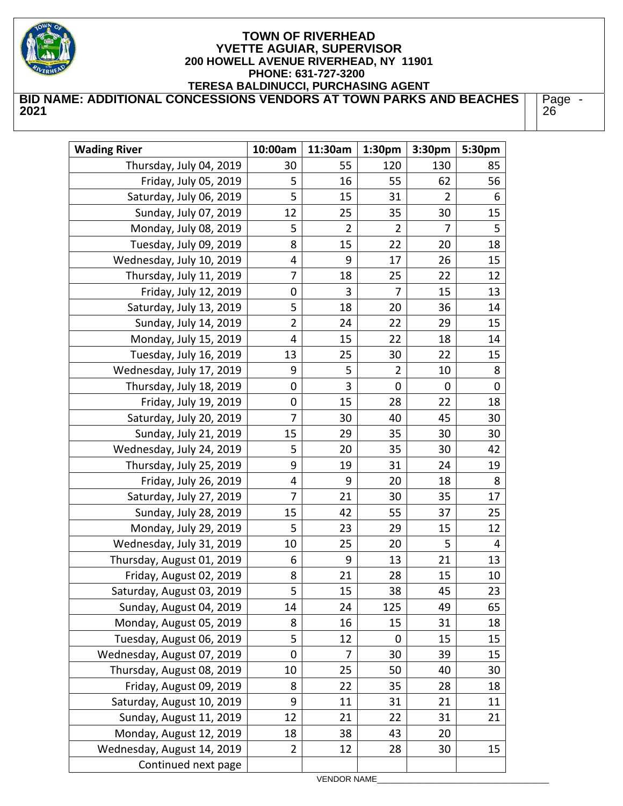

#### **TOWN OF RIVERHEAD YVETTE AGUIAR, SUPERVISOR 200 HOWELL AVENUE RIVERHEAD, NY 11901 PHONE: 631-727-3200 TERESA BALDINUCCI, PURCHASING AGENT BID NAME: ADDITIONAL CONCESSIONS VENDORS AT TOWN PARKS AND BEACHES**

Page - 26

| <b>Wading River</b>        | 10:00am        | 11:30am        | 1:30pm         | 3:30pm         | 5:30pm      |
|----------------------------|----------------|----------------|----------------|----------------|-------------|
| Thursday, July 04, 2019    | 30             | 55             | 120            | 130            | 85          |
| Friday, July 05, 2019      | 5              | 16             | 55             | 62             | 56          |
| Saturday, July 06, 2019    | 5              | 15             | 31             | $\overline{2}$ | 6           |
| Sunday, July 07, 2019      | 12             | 25             | 35             | 30             | 15          |
| Monday, July 08, 2019      | 5              | $\overline{2}$ | $\overline{2}$ | 7              | 5           |
| Tuesday, July 09, 2019     | 8              | 15             | 22             | 20             | 18          |
| Wednesday, July 10, 2019   | 4              | 9              | 17             | 26             | 15          |
| Thursday, July 11, 2019    | 7              | 18             | 25             | 22             | 12          |
| Friday, July 12, 2019      | 0              | 3              | 7              | 15             | 13          |
| Saturday, July 13, 2019    | 5              | 18             | 20             | 36             | 14          |
| Sunday, July 14, 2019      | $\overline{2}$ | 24             | 22             | 29             | 15          |
| Monday, July 15, 2019      | 4              | 15             | 22             | 18             | 14          |
| Tuesday, July 16, 2019     | 13             | 25             | 30             | 22             | 15          |
| Wednesday, July 17, 2019   | 9              | 5              | 2              | 10             | 8           |
| Thursday, July 18, 2019    | 0              | 3              | $\mathbf 0$    | $\mathbf 0$    | $\mathbf 0$ |
| Friday, July 19, 2019      | 0              | 15             | 28             | 22             | 18          |
| Saturday, July 20, 2019    | 7              | 30             | 40             | 45             | 30          |
| Sunday, July 21, 2019      | 15             | 29             | 35             | 30             | 30          |
| Wednesday, July 24, 2019   | 5              | 20             | 35             | 30             | 42          |
| Thursday, July 25, 2019    | 9              | 19             | 31             | 24             | 19          |
| Friday, July 26, 2019      | 4              | 9              | 20             | 18             | 8           |
| Saturday, July 27, 2019    | 7              | 21             | 30             | 35             | 17          |
| Sunday, July 28, 2019      | 15             | 42             | 55             | 37             | 25          |
| Monday, July 29, 2019      | 5              | 23             | 29             | 15             | 12          |
| Wednesday, July 31, 2019   | 10             | 25             | 20             | 5              | 4           |
| Thursday, August 01, 2019  | 6              | 9              | 13             | 21             | 13          |
| Friday, August 02, 2019    | 8              | 21             | 28             | 15             | 10          |
| Saturday, August 03, 2019  | 5              | 15             | 38             | 45             | 23          |
| Sunday, August 04, 2019    | 14             | 24             | 125            | 49             | 65          |
| Monday, August 05, 2019    | 8              | 16             | 15             | 31             | 18          |
| Tuesday, August 06, 2019   | 5              | 12             | 0              | 15             | 15          |
| Wednesday, August 07, 2019 | 0              | 7              | 30             | 39             | 15          |
| Thursday, August 08, 2019  | 10             | 25             | 50             | 40             | 30          |
| Friday, August 09, 2019    | 8              | 22             | 35             | 28             | 18          |
| Saturday, August 10, 2019  | 9              | 11             | 31             | 21             | 11          |
| Sunday, August 11, 2019    | 12             | 21             | 22             | 31             | 21          |
| Monday, August 12, 2019    | 18             | 38             | 43             | 20             |             |
| Wednesday, August 14, 2019 | $\overline{2}$ | 12             | 28             | 30             | 15          |
| Continued next page        |                |                |                |                |             |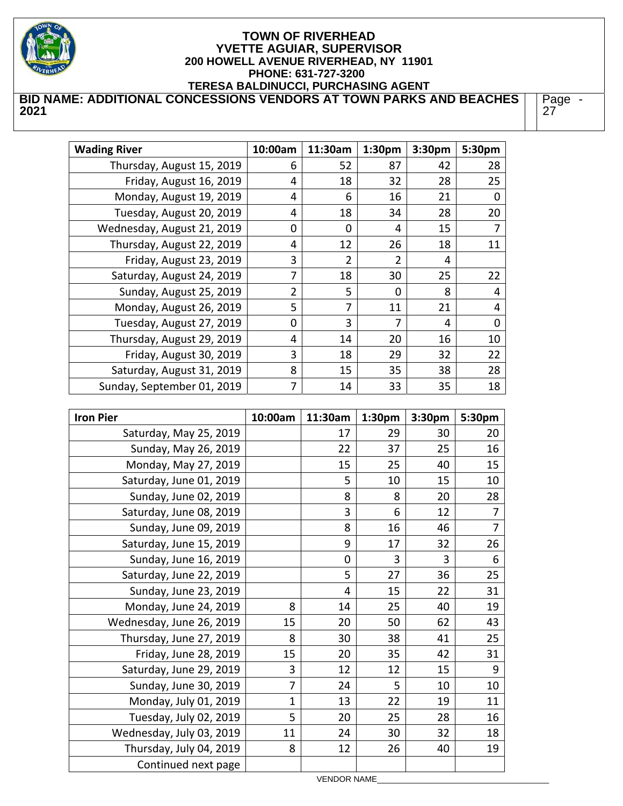

# **TOWN OF RIVERHEAD YVETTE AGUIAR, SUPERVISOR 200 HOWELL AVENUE RIVERHEAD, NY 11901 PHONE: 631-727-3200 TERESA BALDINUCCI, PURCHASING AGENT**

Page - 27

# **BID NAME: ADDITIONAL CONCESSIONS VENDORS AT TOWN PARKS AND BEACHES 2021**

| <b>Wading River</b>        | 10:00am        | 11:30am        | 1:30pm         | 3:30pm | 5:30pm   |
|----------------------------|----------------|----------------|----------------|--------|----------|
| Thursday, August 15, 2019  | 6              | 52             | 87             | 42     | 28       |
| Friday, August 16, 2019    | 4              | 18             | 32             | 28     | 25       |
| Monday, August 19, 2019    | 4              | 6              | 16             | 21     | $\Omega$ |
| Tuesday, August 20, 2019   | 4              | 18             | 34             | 28     | 20       |
| Wednesday, August 21, 2019 | $\mathbf 0$    | $\Omega$       | 4              | 15     |          |
| Thursday, August 22, 2019  | 4              | 12             | 26             | 18     | 11       |
| Friday, August 23, 2019    | 3              | $\overline{2}$ | $\overline{2}$ | 4      |          |
| Saturday, August 24, 2019  | 7              | 18             | 30             | 25     | 22       |
| Sunday, August 25, 2019    | $\overline{2}$ | 5              | $\Omega$       | 8      | 4        |
| Monday, August 26, 2019    | 5              | 7              | 11             | 21     | 4        |
| Tuesday, August 27, 2019   | $\mathbf 0$    | 3              | 7              | 4      | $\Omega$ |
| Thursday, August 29, 2019  | 4              | 14             | 20             | 16     | 10       |
| Friday, August 30, 2019    | 3              | 18             | 29             | 32     | 22       |
| Saturday, August 31, 2019  | 8              | 15             | 35             | 38     | 28       |
| Sunday, September 01, 2019 | 7              | 14             | 33             | 35     | 18       |

| <b>Iron Pier</b>         | 10:00am      | 11:30am     | 1:30pm | 3:30pm | 5:30pm |
|--------------------------|--------------|-------------|--------|--------|--------|
| Saturday, May 25, 2019   |              | 17          | 29     | 30     | 20     |
| Sunday, May 26, 2019     |              | 22          | 37     | 25     | 16     |
| Monday, May 27, 2019     |              | 15          | 25     | 40     | 15     |
| Saturday, June 01, 2019  |              | 5           | 10     | 15     | 10     |
| Sunday, June 02, 2019    |              | 8           | 8      | 20     | 28     |
| Saturday, June 08, 2019  |              | 3           | 6      | 12     | 7      |
| Sunday, June 09, 2019    |              | 8           | 16     | 46     | 7      |
| Saturday, June 15, 2019  |              | 9           | 17     | 32     | 26     |
| Sunday, June 16, 2019    |              | $\mathbf 0$ | 3      | 3      | 6      |
| Saturday, June 22, 2019  |              | 5           | 27     | 36     | 25     |
| Sunday, June 23, 2019    |              | 4           | 15     | 22     | 31     |
| Monday, June 24, 2019    | 8            | 14          | 25     | 40     | 19     |
| Wednesday, June 26, 2019 | 15           | 20          | 50     | 62     | 43     |
| Thursday, June 27, 2019  | 8            | 30          | 38     | 41     | 25     |
| Friday, June 28, 2019    | 15           | 20          | 35     | 42     | 31     |
| Saturday, June 29, 2019  | 3            | 12          | 12     | 15     | 9      |
| Sunday, June 30, 2019    | 7            | 24          | 5      | 10     | 10     |
| Monday, July 01, 2019    | $\mathbf{1}$ | 13          | 22     | 19     | 11     |
| Tuesday, July 02, 2019   | 5            | 20          | 25     | 28     | 16     |
| Wednesday, July 03, 2019 | 11           | 24          | 30     | 32     | 18     |
| Thursday, July 04, 2019  | 8            | 12          | 26     | 40     | 19     |
| Continued next page      |              |             |        |        |        |
| <b>VENDOR NAME</b>       |              |             |        |        |        |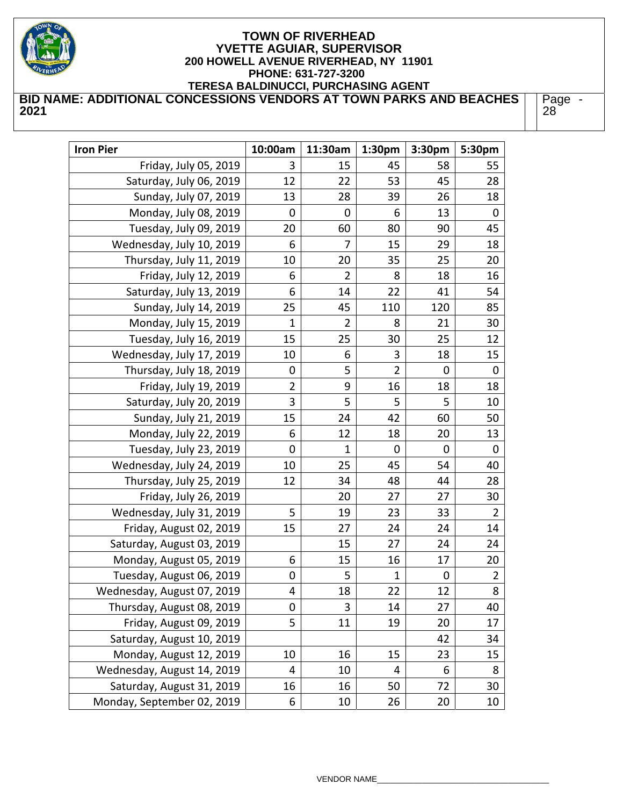

#### **TOWN OF RIVERHEAD YVETTE AGUIAR, SUPERVISOR 200 HOWELL AVENUE RIVERHEAD, NY 11901 PHONE: 631-727-3200 TERESA BALDINUCCI, PURCHASING AGENT BID NAME: ADDITIONAL CONCESSIONS VENDORS AT TOWN PARKS AND BEACHES**

Page - 28

| <b>Iron Pier</b>           | 10:00am        | 11:30am        | 1:30pm      | 3:30pm      | 5:30pm         |
|----------------------------|----------------|----------------|-------------|-------------|----------------|
| Friday, July 05, 2019      | 3              | 15             | 45          | 58          | 55             |
| Saturday, July 06, 2019    | 12             | 22             | 53          | 45          | 28             |
| Sunday, July 07, 2019      | 13             | 28             | 39          | 26          | 18             |
| Monday, July 08, 2019      | $\mathbf 0$    | $\mathbf 0$    | 6           | 13          | $\mathbf 0$    |
| Tuesday, July 09, 2019     | 20             | 60             | 80          | 90          | 45             |
| Wednesday, July 10, 2019   | 6              | 7              | 15          | 29          | 18             |
| Thursday, July 11, 2019    | 10             | 20             | 35          | 25          | 20             |
| Friday, July 12, 2019      | 6              | $\overline{2}$ | 8           | 18          | 16             |
| Saturday, July 13, 2019    | 6              | 14             | 22          | 41          | 54             |
| Sunday, July 14, 2019      | 25             | 45             | 110         | 120         | 85             |
| Monday, July 15, 2019      | $\mathbf{1}$   | $\overline{2}$ | 8           | 21          | 30             |
| Tuesday, July 16, 2019     | 15             | 25             | 30          | 25          | 12             |
| Wednesday, July 17, 2019   | 10             | 6              | 3           | 18          | 15             |
| Thursday, July 18, 2019    | 0              | 5              | 2           | 0           | 0              |
| Friday, July 19, 2019      | $\overline{2}$ | 9              | 16          | 18          | 18             |
| Saturday, July 20, 2019    | 3              | 5              | 5           | 5           | 10             |
| Sunday, July 21, 2019      | 15             | 24             | 42          | 60          | 50             |
| Monday, July 22, 2019      | 6              | 12             | 18          | 20          | 13             |
| Tuesday, July 23, 2019     | $\mathbf 0$    | $\mathbf{1}$   | $\mathbf 0$ | $\mathbf 0$ | $\mathbf 0$    |
| Wednesday, July 24, 2019   | 10             | 25             | 45          | 54          | 40             |
| Thursday, July 25, 2019    | 12             | 34             | 48          | 44          | 28             |
| Friday, July 26, 2019      |                | 20             | 27          | 27          | 30             |
| Wednesday, July 31, 2019   | 5              | 19             | 23          | 33          | $\overline{2}$ |
| Friday, August 02, 2019    | 15             | 27             | 24          | 24          | 14             |
| Saturday, August 03, 2019  |                | 15             | 27          | 24          | 24             |
| Monday, August 05, 2019    | 6              | 15             | 16          | 17          | 20             |
| Tuesday, August 06, 2019   | 0              | 5              | 1           | $\mathbf 0$ | $\overline{2}$ |
| Wednesday, August 07, 2019 | 4              | 18             | 22          | 12          | 8              |
| Thursday, August 08, 2019  | 0              | 3              | 14          | 27          | 40             |
| Friday, August 09, 2019    | 5              | 11             | 19          | 20          | 17             |
| Saturday, August 10, 2019  |                |                |             | 42          | 34             |
| Monday, August 12, 2019    | 10             | 16             | 15          | 23          | 15             |
| Wednesday, August 14, 2019 | 4              | 10             | 4           | 6           | 8              |
| Saturday, August 31, 2019  | 16             | 16             | 50          | 72          | 30             |
| Monday, September 02, 2019 | 6              | 10             | 26          | 20          | 10             |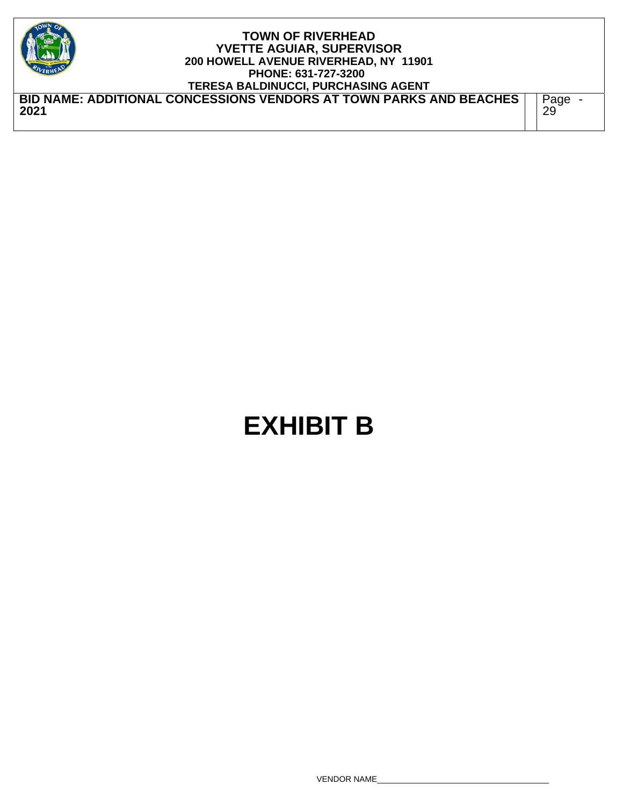

#### **TOWN OF RIVERHEAD YVETTE AGUIAR, SUPERVISOR 200 HOWELL AVENUE RIVERHEAD, NY 11901 PHONE: 631-727-3200 TERESA BALDINUCCI, PURCHASING AGENT BID NAME: ADDITIONAL CONCESSIONS VENDORS AT TOWN PARKS AND BEACHES**

Page - 29

# **EXHIBIT B**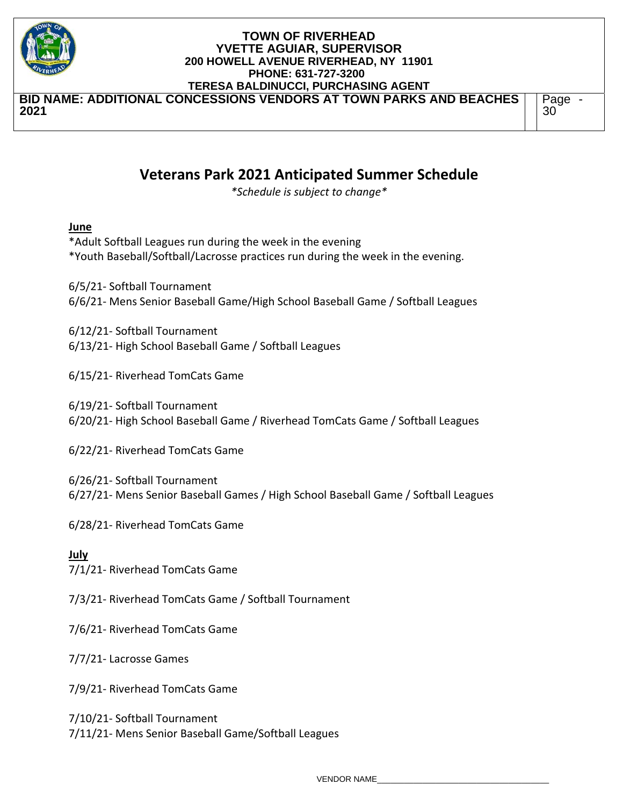

#### **TOWN OF RIVERHEAD YVETTE AGUIAR, SUPERVISOR 200 HOWELL AVENUE RIVERHEAD, NY 11901 PHONE: 631-727-3200 TERESA BALDINUCCI, PURCHASING AGENT BID NAME: ADDITIONAL CONCESSIONS VENDORS AT TOWN PARKS AND BEACHES**

Page - 30

# **Veterans Park 2021 Anticipated Summer Schedule**

*\*Schedule is subject to change\**

# **June**

\*Adult Softball Leagues run during the week in the evening \*Youth Baseball/Softball/Lacrosse practices run during the week in the evening.

6/5/21‐ Softball Tournament 6/6/21‐ Mens Senior Baseball Game/High School Baseball Game / Softball Leagues

6/12/21‐ Softball Tournament 6/13/21‐ High School Baseball Game / Softball Leagues

6/15/21‐ Riverhead TomCats Game

6/19/21‐ Softball Tournament 6/20/21‐ High School Baseball Game / Riverhead TomCats Game / Softball Leagues

6/22/21‐ Riverhead TomCats Game

6/26/21‐ Softball Tournament 6/27/21‐ Mens Senior Baseball Games / High School Baseball Game / Softball Leagues

6/28/21‐ Riverhead TomCats Game

# **July**

7/1/21‐ Riverhead TomCats Game

7/3/21‐ Riverhead TomCats Game / Softball Tournament

7/6/21‐ Riverhead TomCats Game

7/7/21‐ Lacrosse Games

7/9/21‐ Riverhead TomCats Game

7/10/21‐ Softball Tournament

7/11/21‐ Mens Senior Baseball Game/Softball Leagues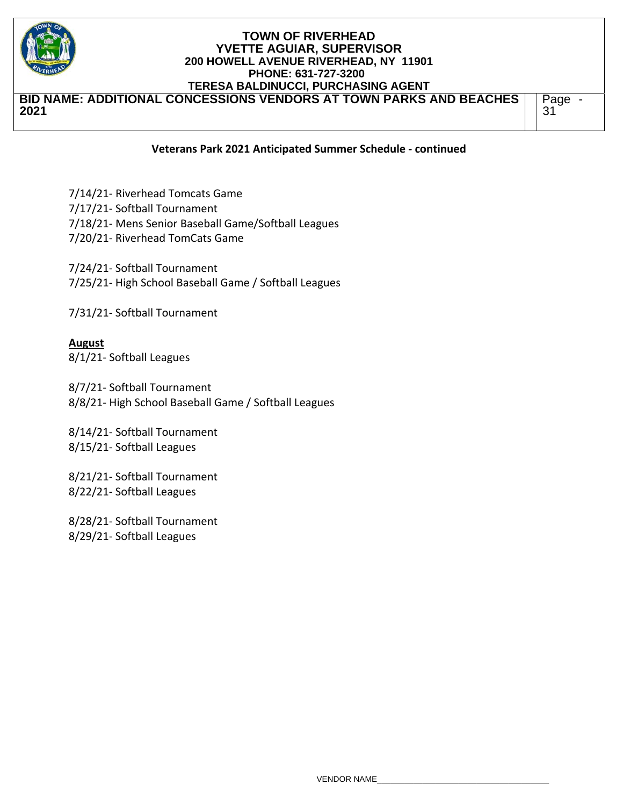

# **TOWN OF RIVERHEAD YVETTE AGUIAR, SUPERVISOR 200 HOWELL AVENUE RIVERHEAD, NY 11901 PHONE: 631-727-3200 TERESA BALDINUCCI, PURCHASING AGENT**

**BID NAME: ADDITIONAL CONCESSIONS VENDORS AT TOWN PARKS AND BEACHES** 

Page - 31

#### **Veterans Park 2021 Anticipated Summer Schedule ‐ continued**

- 7/14/21‐ Riverhead Tomcats Game 7/17/21‐ Softball Tournament
- 7/18/21‐ Mens Senior Baseball Game/Softball Leagues
- 7/20/21‐ Riverhead TomCats Game

7/24/21‐ Softball Tournament

7/25/21‐ High School Baseball Game / Softball Leagues

7/31/21‐ Softball Tournament

#### **August**

8/1/21‐ Softball Leagues

8/7/21‐ Softball Tournament 8/8/21‐ High School Baseball Game / Softball Leagues

8/14/21‐ Softball Tournament 8/15/21‐ Softball Leagues

8/21/21‐ Softball Tournament 8/22/21‐ Softball Leagues

8/28/21‐ Softball Tournament 8/29/21‐ Softball Leagues